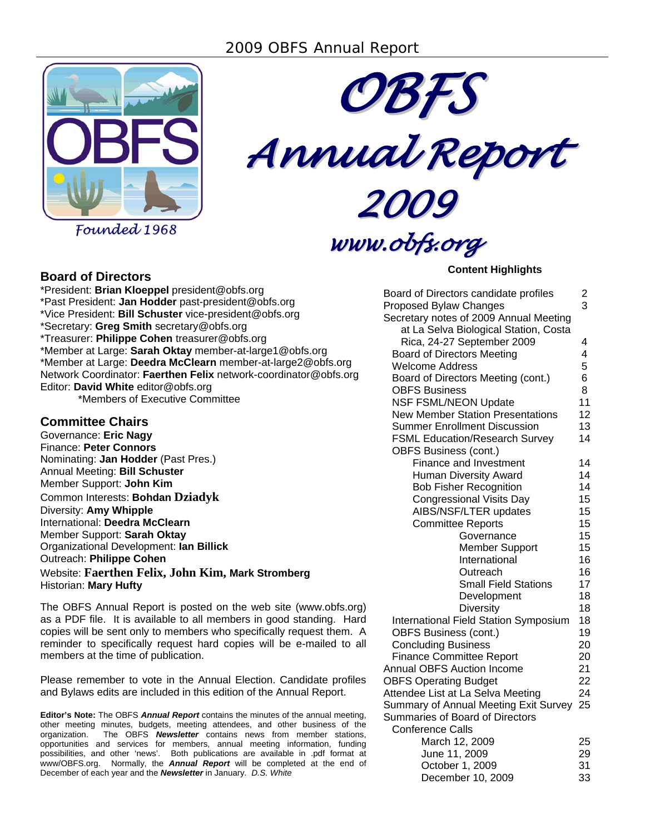

*Founded 1968*



*Annual Report 2009*

*www.obfs.org*

#### **Content Highlights**

| Board of Directors candidate profiles   | $\frac{2}{3}$ |
|-----------------------------------------|---------------|
| Proposed Bylaw Changes                  |               |
| Secretary notes of 2009 Annual Meeting  |               |
| at La Selva Biological Station, Costa   |               |
| Rica, 24-27 September 2009              | 4             |
| <b>Board of Directors Meeting</b>       | 4             |
| <b>Welcome Address</b>                  | 5             |
| Board of Directors Meeting (cont.)      | 6             |
| <b>OBFS Business</b>                    | 8             |
| NSF FSML/NEON Update                    | 11            |
| <b>New Member Station Presentations</b> | 12            |
| <b>Summer Enrollment Discussion</b>     | 13            |
| <b>FSML Education/Research Survey</b>   | 14            |
| <b>OBFS Business (cont.)</b>            |               |
| <b>Finance and Investment</b>           | 14            |
| <b>Human Diversity Award</b>            | 14            |
| <b>Bob Fisher Recognition</b>           | 14            |
| <b>Congressional Visits Day</b>         | 15            |
| AIBS/NSF/LTER updates                   | 15            |
| <b>Committee Reports</b>                | 15            |
| Governance                              | 15            |
| <b>Member Support</b>                   | 15            |
| International                           | 16            |
| Outreach                                | 16            |
| <b>Small Field Stations</b>             | 17            |
| Development                             | 18            |
| Diversity                               | 18            |
| International Field Station Symposium   | 18            |
| <b>OBFS Business (cont.)</b>            | 19            |
| <b>Concluding Business</b>              | 20            |
| <b>Finance Committee Report</b>         | 20            |
| <b>Annual OBFS Auction Income</b>       | 21            |
| <b>OBFS Operating Budget</b>            | 22            |
| Attendee List at La Selva Meeting       | 24            |
| Summary of Annual Meeting Exit Survey   | 25            |
| Summaries of Board of Directors         |               |
| <b>Conference Calls</b>                 |               |
| March 12, 2009                          | 25            |
| June 11, 2009                           | 29            |
| October 1, 2009                         | 31            |
| December 10, 2009                       | 33            |

# **Board of Directors**

\*President: **Brian Kloeppel** president@obfs.org \*Past President: **Jan Hodder** past-president@obfs.org \*Vice President: **Bill Schuster** vice-president@obfs.org \*Secretary: **Greg Smith** secretary@obfs.org \*Treasurer: **Philippe Cohen** treasurer@obfs.org \*Member at Large: **Sarah Oktay** member-at-large1@obfs.org \*Member at Large: **Deedra McClearn** member-at-large2@obfs.org Network Coordinator: **Faerthen Felix** network-coordinator@obfs.org Editor: **David White** editor@obfs.org \*Members of Executive Committee

**Committee Chairs** 

Governance: **Eric Nagy** Finance: **Peter Connors** Nominating: **Jan Hodder** (Past Pres.) Annual Meeting: **Bill Schuster** Member Support: **John Kim** Common Interests: **Bohdan Dziadyk** Diversity: **Amy Whipple** International: **Deedra McClearn** Member Support: **Sarah Oktay** Organizational Development: **Ian Billick** Outreach: **Philippe Cohen** Website: **Faerthen Felix, John Kim, Mark Stromberg** Historian: **Mary Hufty**

The OBFS Annual Report is posted on the web site (www.obfs.org) as a PDF file. It is available to all members in good standing. Hard copies will be sent only to members who specifically request them. A reminder to specifically request hard copies will be e-mailed to all members at the time of publication.

Please remember to vote in the Annual Election. Candidate profiles and Bylaws edits are included in this edition of the Annual Report.

**Editor's Note:** The OBFS *Annual Report* contains the minutes of the annual meeting, other meeting minutes, budgets, meeting attendees, and other business of the organization. The OBFS *Newsletter* contains news from member stations, opportunities and services for members, annual meeting information, funding possibilities, and other 'news'. Both publications are available in .pdf format at www/OBFS.org. Normally, the *Annual Report* will be completed at the end of December of each year and the *Newsletter* in January. *D.S. White*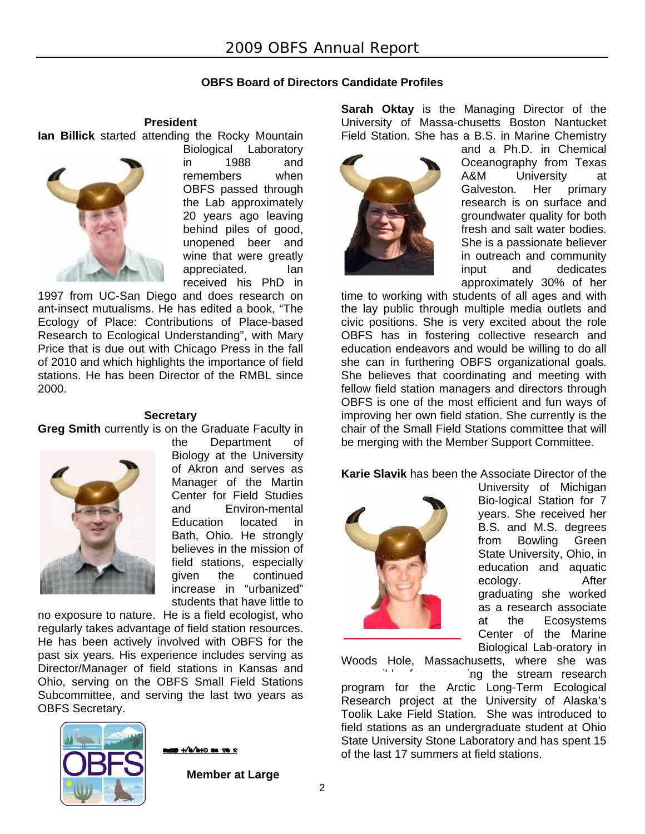# **OBFS Board of Directors Candidate Profiles**

**President Ian Billick** started attending the Rocky Mountain



Biological Laboratory in 1988 and remembers when OBFS passed through the Lab approximately 20 years ago leaving behind piles of good, unopened beer and wine that were greatly appreciated. Ian received his PhD in

1997 from UC-San Diego and does research on ant-insect mutualisms. He has edited a book, "The Ecology of Place: Contributions of Place-based Research to Ecological Understanding", with Mary Price that is due out with Chicago Press in the fall of 2010 and which highlights the importance of field stations. He has been Director of the RMBL since 2000.

# **Secretary**

**Greg Smith** currently is on the Graduate Faculty in



the Department of Biology at the University of Akron and serves as Manager of the Martin Center for Field Studies and Environ-mental Education located in Bath, Ohio. He strongly believes in the mission of field stations, especially given the continued increase in "urbanized" students that have little to

no exposure to nature. He is a field ecologist, who regularly takes advantage of field station resources. He has been actively involved with OBFS for the past six years. His experience includes serving as Director/Manager of field stations in Kansas and Ohio, serving on the OBFS Small Field Stations Subcommittee, and serving the last two years as OBFS Secretary.



OBBS +/b/b+O ou you %

**Member at Large** 

**Sarah Oktay** is the Managing Director of the University of Massa-chusetts Boston Nantucket Field Station. She has a B.S. in Marine Chemistry



and a Ph.D. in Chemical Oceanography from Texas A&M University at Galveston. Her primary research is on surface and groundwater quality for both fresh and salt water bodies. She is a passionate believer in outreach and community input and dedicates approximately 30% of her

time to working with students of all ages and with the lay public through multiple media outlets and civic positions. She is very excited about the role OBFS has in fostering collective research and education endeavors and would be willing to do all she can in furthering OBFS organizational goals. She believes that coordinating and meeting with fellow field station managers and directors through OBFS is one of the most efficient and fun ways of improving her own field station. She currently is the chair of the Small Field Stations committee that will be merging with the Member Support Committee.

**Karie Slavik** has been the Associate Director of the



University of Michigan Bio-logical Station for 7 years. She received her B.S. and M.S. degrees from Bowling Green State University, Ohio, in education and aquatic ecology. After graduating she worked as a research associate at the Ecosystems Center of the Marine Biological Lab-oratory in

Woods Hole, Massachusetts, where she was ing the stream research

program for the Arctic Long-Term Ecological Research project at the University of Alaska's Toolik Lake Field Station. She was introduced to field stations as an undergraduate student at Ohio State University Stone Laboratory and has spent 15 of the last 17 summers at field stations.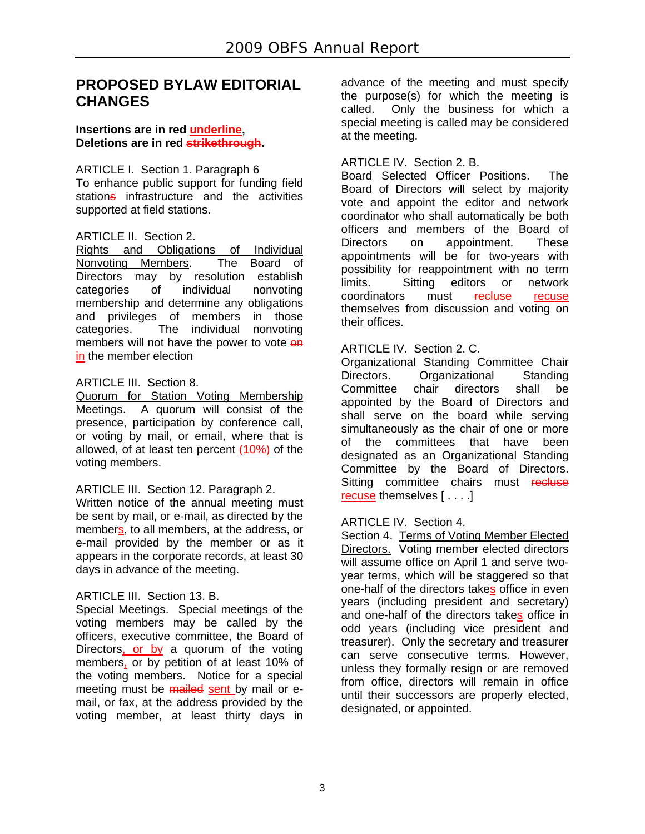# **PROPOSED BYLAW EDITORIAL CHANGES**

# **Insertions are in red underline, Deletions are in red strikethrough.**

ARTICLE I. Section 1. Paragraph 6

To enhance public support for funding field stations infrastructure and the activities supported at field stations.

# ARTICLE II. Section 2.

Rights and Obligations of Individual<br>Nonvoting Members. The Board of Nonvoting Members. The Board of Directors may by resolution establish categories of individual nonvoting membership and determine any obligations and privileges of members in those categories. The individual nonvoting members will not have the power to vote on in the member election

# ARTICLE III. Section 8.

Quorum for Station Voting Membership Meetings. A quorum will consist of the presence, participation by conference call, or voting by mail, or email, where that is allowed, of at least ten percent (10%) of the voting members.

# ARTICLE III. Section 12. Paragraph 2.

Written notice of the annual meeting must be sent by mail, or e-mail, as directed by the members, to all members, at the address, or e-mail provided by the member or as it appears in the corporate records, at least 30 days in advance of the meeting.

# ARTICLE III. Section 13. B.

Special Meetings. Special meetings of the voting members may be called by the officers, executive committee, the Board of Directors, or by a quorum of the voting members, or by petition of at least 10% of the voting members. Notice for a special meeting must be mailed sent by mail or email, or fax, at the address provided by the voting member, at least thirty days in advance of the meeting and must specify the purpose(s) for which the meeting is called. Only the business for which a special meeting is called may be considered at the meeting.

# ARTICLE IV. Section 2. B.

Board Selected Officer Positions. The Board of Directors will select by majority vote and appoint the editor and network coordinator who shall automatically be both officers and members of the Board of Directors on appointment. These appointments will be for two-years with possibility for reappointment with no term limits. Sitting editors or network coordinators must recluse recuse themselves from discussion and voting on their offices.

# ARTICLE IV. Section 2. C.

Organizational Standing Committee Chair Directors. Organizational Standing Committee chair directors shall be appointed by the Board of Directors and shall serve on the board while serving simultaneously as the chair of one or more of the committees that have been designated as an Organizational Standing Committee by the Board of Directors. Sitting committee chairs must recluse recuse themselves [ . . . .]

# ARTICLE IV. Section 4.

Section 4. Terms of Voting Member Elected Directors. Voting member elected directors will assume office on April 1 and serve twoyear terms, which will be staggered so that one-half of the directors takes office in even years (including president and secretary) and one-half of the directors takes office in odd years (including vice president and treasurer). Only the secretary and treasurer can serve consecutive terms. However, unless they formally resign or are removed from office, directors will remain in office until their successors are properly elected, designated, or appointed.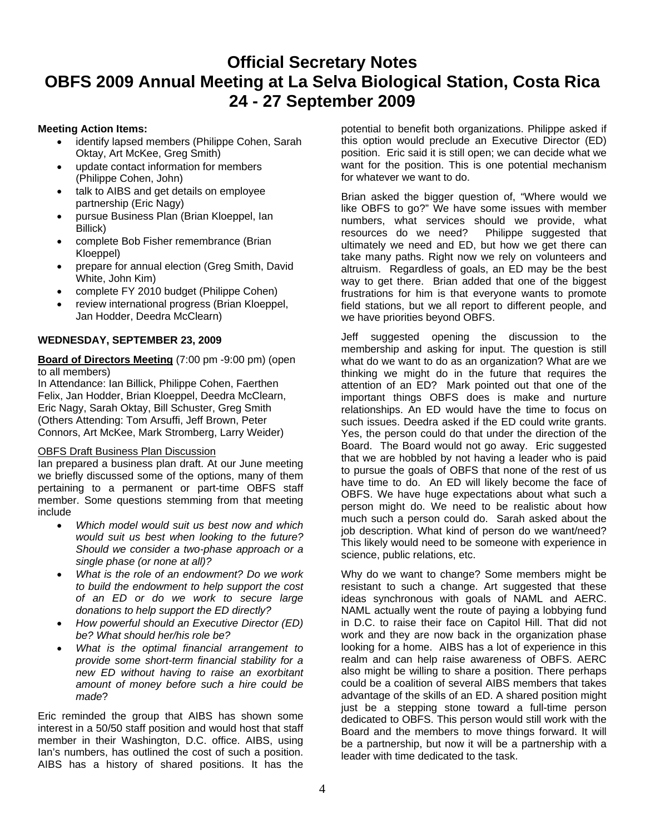# **Official Secretary Notes OBFS 2009 Annual Meeting at La Selva Biological Station, Costa Rica 24 - 27 September 2009**

# **Meeting Action Items:**

- identify lapsed members (Philippe Cohen, Sarah Oktay, Art McKee, Greg Smith)
- update contact information for members (Philippe Cohen, John)
- talk to AIBS and get details on employee partnership (Eric Nagy)
- pursue Business Plan (Brian Kloeppel, Ian Billick)
- complete Bob Fisher remembrance (Brian Kloeppel)
- prepare for annual election (Greg Smith, David White, John Kim)
- complete FY 2010 budget (Philippe Cohen)
- review international progress (Brian Kloeppel, Jan Hodder, Deedra McClearn)

# **WEDNESDAY, SEPTEMBER 23, 2009**

#### **Board of Directors Meeting** (7:00 pm -9:00 pm) (open to all members)

In Attendance: Ian Billick, Philippe Cohen, Faerthen Felix, Jan Hodder, Brian Kloeppel, Deedra McClearn, Eric Nagy, Sarah Oktay, Bill Schuster, Greg Smith (Others Attending: Tom Arsuffi, Jeff Brown, Peter Connors, Art McKee, Mark Stromberg, Larry Weider)

#### OBFS Draft Business Plan Discussion

Ian prepared a business plan draft. At our June meeting we briefly discussed some of the options, many of them pertaining to a permanent or part-time OBFS staff member. Some questions stemming from that meeting include

- *Which model would suit us best now and which would suit us best when looking to the future? Should we consider a two-phase approach or a single phase (or none at all)?*
- *What is the role of an endowment? Do we work to build the endowment to help support the cost of an ED or do we work to secure large donations to help support the ED directly?*
- *How powerful should an Executive Director (ED) be? What should her/his role be?*
- *What is the optimal financial arrangement to provide some short-term financial stability for a new ED without having to raise an exorbitant amount of money before such a hire could be made*?

Eric reminded the group that AIBS has shown some interest in a 50/50 staff position and would host that staff member in their Washington, D.C. office. AIBS, using Ian's numbers, has outlined the cost of such a position. AIBS has a history of shared positions. It has the

potential to benefit both organizations. Philippe asked if this option would preclude an Executive Director (ED) position. Eric said it is still open; we can decide what we want for the position. This is one potential mechanism for whatever we want to do.

Brian asked the bigger question of, "Where would we like OBFS to go?" We have some issues with member numbers, what services should we provide, what resources do we need? Philippe suggested that ultimately we need and ED, but how we get there can take many paths. Right now we rely on volunteers and altruism. Regardless of goals, an ED may be the best way to get there. Brian added that one of the biggest frustrations for him is that everyone wants to promote field stations, but we all report to different people, and we have priorities beyond OBFS.

Jeff suggested opening the discussion to the membership and asking for input. The question is still what do we want to do as an organization? What are we thinking we might do in the future that requires the attention of an ED? Mark pointed out that one of the important things OBFS does is make and nurture relationships. An ED would have the time to focus on such issues. Deedra asked if the ED could write grants. Yes, the person could do that under the direction of the Board. The Board would not go away. Eric suggested that we are hobbled by not having a leader who is paid to pursue the goals of OBFS that none of the rest of us have time to do. An ED will likely become the face of OBFS. We have huge expectations about what such a person might do. We need to be realistic about how much such a person could do. Sarah asked about the job description. What kind of person do we want/need? This likely would need to be someone with experience in science, public relations, etc.

Why do we want to change? Some members might be resistant to such a change. Art suggested that these ideas synchronous with goals of NAML and AERC. NAML actually went the route of paying a lobbying fund in D.C. to raise their face on Capitol Hill. That did not work and they are now back in the organization phase looking for a home. AIBS has a lot of experience in this realm and can help raise awareness of OBFS. AERC also might be willing to share a position. There perhaps could be a coalition of several AIBS members that takes advantage of the skills of an ED. A shared position might just be a stepping stone toward a full-time person dedicated to OBFS. This person would still work with the Board and the members to move things forward. It will be a partnership, but now it will be a partnership with a leader with time dedicated to the task.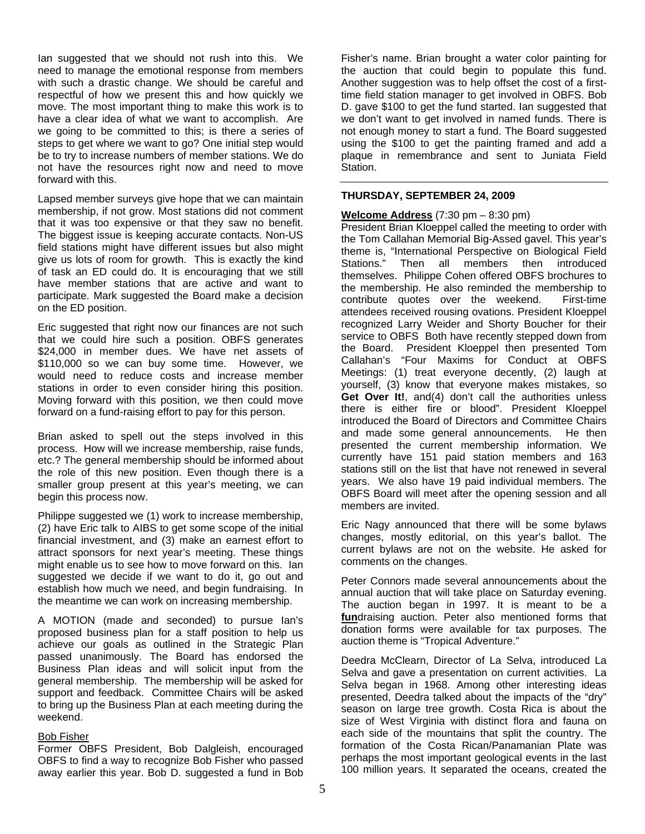Ian suggested that we should not rush into this. We need to manage the emotional response from members with such a drastic change. We should be careful and respectful of how we present this and how quickly we move. The most important thing to make this work is to have a clear idea of what we want to accomplish. Are we going to be committed to this; is there a series of steps to get where we want to go? One initial step would be to try to increase numbers of member stations. We do not have the resources right now and need to move forward with this.

Lapsed member surveys give hope that we can maintain membership, if not grow. Most stations did not comment that it was too expensive or that they saw no benefit. The biggest issue is keeping accurate contacts. Non-US field stations might have different issues but also might give us lots of room for growth. This is exactly the kind of task an ED could do. It is encouraging that we still have member stations that are active and want to participate. Mark suggested the Board make a decision on the ED position.

Eric suggested that right now our finances are not such that we could hire such a position. OBFS generates \$24,000 in member dues. We have net assets of \$110,000 so we can buy some time. However, we would need to reduce costs and increase member stations in order to even consider hiring this position. Moving forward with this position, we then could move forward on a fund-raising effort to pay for this person.

Brian asked to spell out the steps involved in this process. How will we increase membership, raise funds, etc.? The general membership should be informed about the role of this new position. Even though there is a smaller group present at this year's meeting, we can begin this process now.

Philippe suggested we (1) work to increase membership, (2) have Eric talk to AIBS to get some scope of the initial financial investment, and (3) make an earnest effort to attract sponsors for next year's meeting. These things might enable us to see how to move forward on this. Ian suggested we decide if we want to do it, go out and establish how much we need, and begin fundraising. In the meantime we can work on increasing membership.

A MOTION (made and seconded) to pursue Ian's proposed business plan for a staff position to help us achieve our goals as outlined in the Strategic Plan passed unanimously. The Board has endorsed the Business Plan ideas and will solicit input from the general membership. The membership will be asked for support and feedback. Committee Chairs will be asked to bring up the Business Plan at each meeting during the weekend.

#### Bob Fisher

Former OBFS President, Bob Dalgleish, encouraged OBFS to find a way to recognize Bob Fisher who passed away earlier this year. Bob D. suggested a fund in Bob

Fisher's name. Brian brought a water color painting for the auction that could begin to populate this fund. Another suggestion was to help offset the cost of a firsttime field station manager to get involved in OBFS. Bob D. gave \$100 to get the fund started. Ian suggested that we don't want to get involved in named funds. There is not enough money to start a fund. The Board suggested using the \$100 to get the painting framed and add a plaque in remembrance and sent to Juniata Field Station.

#### **THURSDAY, SEPTEMBER 24, 2009**

#### **Welcome Address** (7:30 pm – 8:30 pm)

President Brian Kloeppel called the meeting to order with the Tom Callahan Memorial Big-Assed gavel. This year's theme is, "International Perspective on Biological Field Stations." Then all members then introduced themselves. Philippe Cohen offered OBFS brochures to the membership. He also reminded the membership to contribute quotes over the weekend. First-time attendees received rousing ovations. President Kloeppel recognized Larry Weider and Shorty Boucher for their service to OBFS Both have recently stepped down from the Board. President Kloeppel then presented Tom Callahan's "Four Maxims for Conduct at OBFS Meetings: (1) treat everyone decently, (2) laugh at yourself, (3) know that everyone makes mistakes, so **Get Over It!**, and(4) don't call the authorities unless there is either fire or blood". President Kloeppel introduced the Board of Directors and Committee Chairs and made some general announcements. He then presented the current membership information. We currently have 151 paid station members and 163 stations still on the list that have not renewed in several years. We also have 19 paid individual members. The OBFS Board will meet after the opening session and all members are invited.

Eric Nagy announced that there will be some bylaws changes, mostly editorial, on this year's ballot. The current bylaws are not on the website. He asked for comments on the changes.

Peter Connors made several announcements about the annual auction that will take place on Saturday evening. The auction began in 1997. It is meant to be a **fun**draising auction. Peter also mentioned forms that donation forms were available for tax purposes. The auction theme is "Tropical Adventure."

Deedra McClearn, Director of La Selva, introduced La Selva and gave a presentation on current activities. La Selva began in 1968. Among other interesting ideas presented, Deedra talked about the impacts of the "dry" season on large tree growth. Costa Rica is about the size of West Virginia with distinct flora and fauna on each side of the mountains that split the country. The formation of the Costa Rican/Panamanian Plate was perhaps the most important geological events in the last 100 million years. It separated the oceans, created the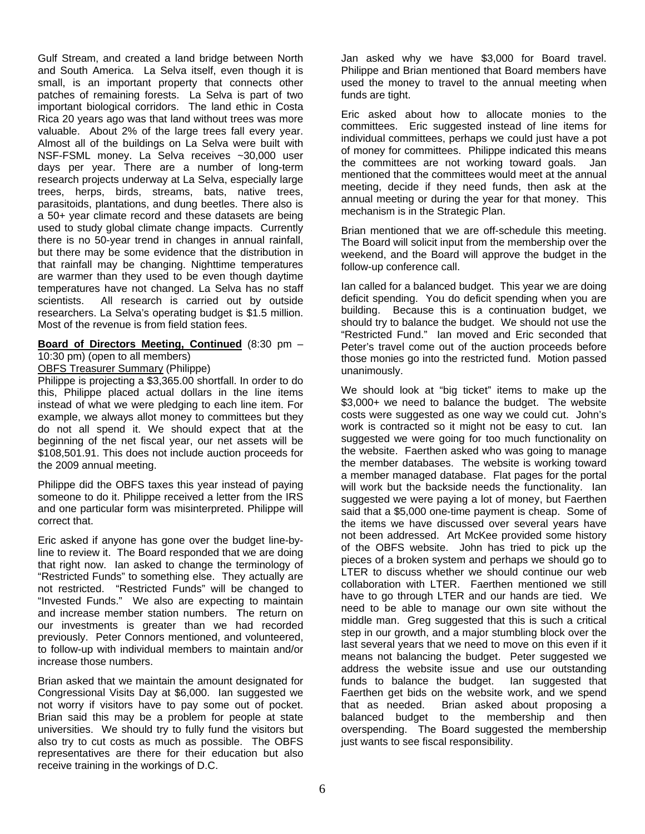Gulf Stream, and created a land bridge between North and South America. La Selva itself, even though it is small, is an important property that connects other patches of remaining forests. La Selva is part of two important biological corridors. The land ethic in Costa Rica 20 years ago was that land without trees was more valuable. About 2% of the large trees fall every year. Almost all of the buildings on La Selva were built with NSF-FSML money. La Selva receives ~30,000 user days per year. There are a number of long-term research projects underway at La Selva, especially large trees, herps, birds, streams, bats, native trees, parasitoids, plantations, and dung beetles. There also is a 50+ year climate record and these datasets are being used to study global climate change impacts. Currently there is no 50-year trend in changes in annual rainfall, but there may be some evidence that the distribution in that rainfall may be changing. Nighttime temperatures are warmer than they used to be even though daytime temperatures have not changed. La Selva has no staff scientists. All research is carried out by outside researchers. La Selva's operating budget is \$1.5 million. Most of the revenue is from field station fees.

**Board of Directors Meeting, Continued** (8:30 pm – 10:30 pm) (open to all members)

# OBFS Treasurer Summary (Philippe)

Philippe is projecting a \$3,365.00 shortfall. In order to do this, Philippe placed actual dollars in the line items instead of what we were pledging to each line item. For example, we always allot money to committees but they do not all spend it. We should expect that at the beginning of the net fiscal year, our net assets will be \$108,501.91. This does not include auction proceeds for the 2009 annual meeting.

Philippe did the OBFS taxes this year instead of paying someone to do it. Philippe received a letter from the IRS and one particular form was misinterpreted. Philippe will correct that.

Eric asked if anyone has gone over the budget line-byline to review it. The Board responded that we are doing that right now. Ian asked to change the terminology of "Restricted Funds" to something else. They actually are not restricted. "Restricted Funds" will be changed to "Invested Funds." We also are expecting to maintain and increase member station numbers. The return on our investments is greater than we had recorded previously. Peter Connors mentioned, and volunteered, to follow-up with individual members to maintain and/or increase those numbers.

Brian asked that we maintain the amount designated for Congressional Visits Day at \$6,000. Ian suggested we not worry if visitors have to pay some out of pocket. Brian said this may be a problem for people at state universities. We should try to fully fund the visitors but also try to cut costs as much as possible. The OBFS representatives are there for their education but also receive training in the workings of D.C.

Jan asked why we have \$3,000 for Board travel. Philippe and Brian mentioned that Board members have used the money to travel to the annual meeting when funds are tight.

Eric asked about how to allocate monies to the committees. Eric suggested instead of line items for individual committees, perhaps we could just have a pot of money for committees. Philippe indicated this means the committees are not working toward goals. Jan mentioned that the committees would meet at the annual meeting, decide if they need funds, then ask at the annual meeting or during the year for that money. This mechanism is in the Strategic Plan.

Brian mentioned that we are off-schedule this meeting. The Board will solicit input from the membership over the weekend, and the Board will approve the budget in the follow-up conference call.

Ian called for a balanced budget. This year we are doing deficit spending. You do deficit spending when you are building. Because this is a continuation budget, we should try to balance the budget. We should not use the "Restricted Fund." Ian moved and Eric seconded that Peter's travel come out of the auction proceeds before those monies go into the restricted fund. Motion passed unanimously.

We should look at "big ticket" items to make up the \$3,000+ we need to balance the budget. The website costs were suggested as one way we could cut. John's work is contracted so it might not be easy to cut. Ian suggested we were going for too much functionality on the website. Faerthen asked who was going to manage the member databases. The website is working toward a member managed database. Flat pages for the portal will work but the backside needs the functionality. Ian suggested we were paying a lot of money, but Faerthen said that a \$5,000 one-time payment is cheap. Some of the items we have discussed over several years have not been addressed. Art McKee provided some history of the OBFS website. John has tried to pick up the pieces of a broken system and perhaps we should go to LTER to discuss whether we should continue our web collaboration with LTER. Faerthen mentioned we still have to go through LTER and our hands are tied. We need to be able to manage our own site without the middle man. Greg suggested that this is such a critical step in our growth, and a major stumbling block over the last several years that we need to move on this even if it means not balancing the budget. Peter suggested we address the website issue and use our outstanding funds to balance the budget. Ian suggested that Faerthen get bids on the website work, and we spend that as needed. Brian asked about proposing a balanced budget to the membership and then overspending. The Board suggested the membership just wants to see fiscal responsibility.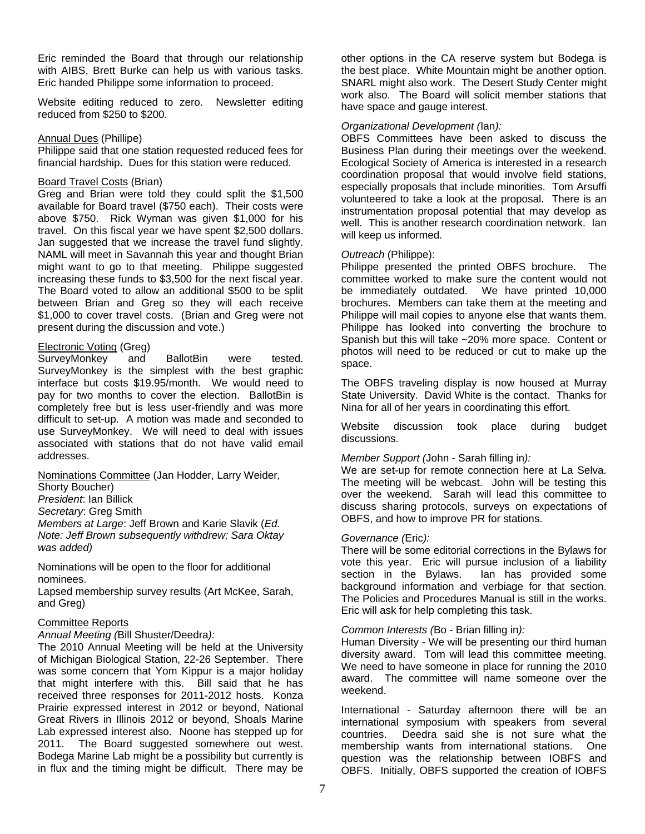Eric reminded the Board that through our relationship with AIBS, Brett Burke can help us with various tasks. Eric handed Philippe some information to proceed.

Website editing reduced to zero. Newsletter editing reduced from \$250 to \$200.

#### Annual Dues (Phillipe)

Philippe said that one station requested reduced fees for financial hardship. Dues for this station were reduced.

#### Board Travel Costs (Brian)

Greg and Brian were told they could split the \$1,500 available for Board travel (\$750 each). Their costs were above \$750. Rick Wyman was given \$1,000 for his travel. On this fiscal year we have spent \$2,500 dollars. Jan suggested that we increase the travel fund slightly. NAML will meet in Savannah this year and thought Brian might want to go to that meeting. Philippe suggested increasing these funds to \$3,500 for the next fiscal year. The Board voted to allow an additional \$500 to be split between Brian and Greg so they will each receive \$1,000 to cover travel costs. (Brian and Greg were not present during the discussion and vote.)

#### Electronic Voting (Greg)

SurveyMonkey and BallotBin were tested. SurveyMonkey is the simplest with the best graphic interface but costs \$19.95/month. We would need to pay for two months to cover the election. BallotBin is completely free but is less user-friendly and was more difficult to set-up. A motion was made and seconded to use SurveyMonkey. We will need to deal with issues associated with stations that do not have valid email addresses.

Nominations Committee (Jan Hodder, Larry Weider,

Shorty Boucher)

*President*: Ian Billick

*Secretary*: Greg Smith

*Members at Large*: Jeff Brown and Karie Slavik (*Ed. Note: Jeff Brown subsequently withdrew; Sara Oktay was added)* 

Nominations will be open to the floor for additional nominees.

Lapsed membership survey results (Art McKee, Sarah, and Greg)

#### Committee Reports

*Annual Meeting (*Bill Shuster/Deedra*):*

The 2010 Annual Meeting will be held at the University of Michigan Biological Station, 22-26 September. There was some concern that Yom Kippur is a major holiday that might interfere with this. Bill said that he has received three responses for 2011-2012 hosts. Konza Prairie expressed interest in 2012 or beyond, National Great Rivers in Illinois 2012 or beyond, Shoals Marine Lab expressed interest also. Noone has stepped up for 2011. The Board suggested somewhere out west. Bodega Marine Lab might be a possibility but currently is in flux and the timing might be difficult. There may be

other options in the CA reserve system but Bodega is the best place. White Mountain might be another option. SNARL might also work. The Desert Study Center might work also. The Board will solicit member stations that have space and gauge interest.

# *Organizational Development (*Ian*):*

OBFS Committees have been asked to discuss the Business Plan during their meetings over the weekend. Ecological Society of America is interested in a research coordination proposal that would involve field stations, especially proposals that include minorities. Tom Arsuffi volunteered to take a look at the proposal. There is an instrumentation proposal potential that may develop as well. This is another research coordination network. Ian will keep us informed.

#### *Outreach* (Philippe):

Philippe presented the printed OBFS brochure. The committee worked to make sure the content would not be immediately outdated. We have printed 10,000 brochures. Members can take them at the meeting and Philippe will mail copies to anyone else that wants them. Philippe has looked into converting the brochure to Spanish but this will take ~20% more space. Content or photos will need to be reduced or cut to make up the space.

The OBFS traveling display is now housed at Murray State University. David White is the contact. Thanks for Nina for all of her years in coordinating this effort.

Website discussion took place during budget discussions.

#### *Member Support (*John - Sarah filling in*):*

We are set-up for remote connection here at La Selva. The meeting will be webcast. John will be testing this over the weekend. Sarah will lead this committee to discuss sharing protocols, surveys on expectations of OBFS, and how to improve PR for stations.

#### *Governance (*Eric*):*

There will be some editorial corrections in the Bylaws for vote this year. Eric will pursue inclusion of a liability section in the Bylaws. Ian has provided some background information and verbiage for that section. The Policies and Procedures Manual is still in the works. Eric will ask for help completing this task.

#### *Common Interests (*Bo - Brian filling in*):*

Human Diversity - We will be presenting our third human diversity award. Tom will lead this committee meeting. We need to have someone in place for running the 2010 award. The committee will name someone over the weekend.

International - Saturday afternoon there will be an international symposium with speakers from several countries. Deedra said she is not sure what the membership wants from international stations. One question was the relationship between IOBFS and OBFS. Initially, OBFS supported the creation of IOBFS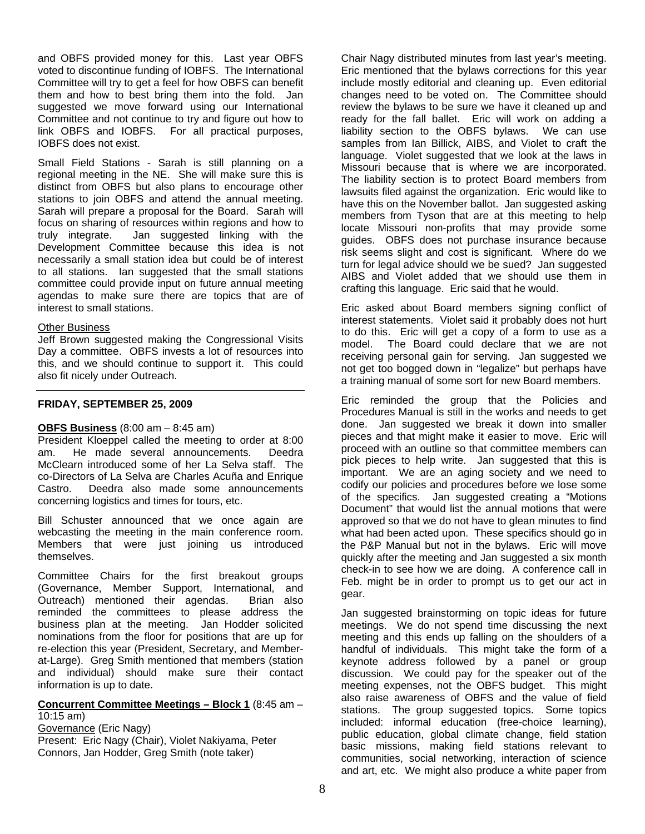and OBFS provided money for this. Last year OBFS voted to discontinue funding of IOBFS. The International Committee will try to get a feel for how OBFS can benefit them and how to best bring them into the fold. Jan suggested we move forward using our International Committee and not continue to try and figure out how to link OBFS and IOBFS. For all practical purposes, IOBFS does not exist.

Small Field Stations - Sarah is still planning on a regional meeting in the NE. She will make sure this is distinct from OBFS but also plans to encourage other stations to join OBFS and attend the annual meeting. Sarah will prepare a proposal for the Board. Sarah will focus on sharing of resources within regions and how to truly integrate. Jan suggested linking with the Development Committee because this idea is not necessarily a small station idea but could be of interest to all stations. Ian suggested that the small stations committee could provide input on future annual meeting agendas to make sure there are topics that are of interest to small stations.

#### Other Business

Jeff Brown suggested making the Congressional Visits Day a committee. OBFS invests a lot of resources into this, and we should continue to support it. This could also fit nicely under Outreach.

#### **FRIDAY, SEPTEMBER 25, 2009**

#### **OBFS Business** (8:00 am – 8:45 am)

President Kloeppel called the meeting to order at 8:00 am. He made several announcements. Deedra McClearn introduced some of her La Selva staff. The co-Directors of La Selva are Charles Acuña and Enrique Castro. Deedra also made some announcements concerning logistics and times for tours, etc.

Bill Schuster announced that we once again are webcasting the meeting in the main conference room. Members that were just joining us introduced themselves.

Committee Chairs for the first breakout groups (Governance, Member Support, International, and Outreach) mentioned their agendas. Brian also reminded the committees to please address the business plan at the meeting. Jan Hodder solicited nominations from the floor for positions that are up for re-election this year (President, Secretary, and Memberat-Large). Greg Smith mentioned that members (station and individual) should make sure their contact information is up to date.

#### **Concurrent Committee Meetings – Block 1** (8:45 am – 10:15 am)

Governance (Eric Nagy) Present: Eric Nagy (Chair), Violet Nakiyama, Peter Connors, Jan Hodder, Greg Smith (note taker)

Chair Nagy distributed minutes from last year's meeting. Eric mentioned that the bylaws corrections for this year include mostly editorial and cleaning up. Even editorial changes need to be voted on. The Committee should review the bylaws to be sure we have it cleaned up and ready for the fall ballet. Eric will work on adding a liability section to the OBFS bylaws. We can use samples from Ian Billick, AIBS, and Violet to craft the language. Violet suggested that we look at the laws in Missouri because that is where we are incorporated. The liability section is to protect Board members from lawsuits filed against the organization. Eric would like to have this on the November ballot. Jan suggested asking members from Tyson that are at this meeting to help locate Missouri non-profits that may provide some guides. OBFS does not purchase insurance because risk seems slight and cost is significant. Where do we turn for legal advice should we be sued? Jan suggested AIBS and Violet added that we should use them in crafting this language. Eric said that he would.

Eric asked about Board members signing conflict of interest statements. Violet said it probably does not hurt to do this. Eric will get a copy of a form to use as a model. The Board could declare that we are not receiving personal gain for serving. Jan suggested we not get too bogged down in "legalize" but perhaps have a training manual of some sort for new Board members.

Eric reminded the group that the Policies and Procedures Manual is still in the works and needs to get done. Jan suggested we break it down into smaller pieces and that might make it easier to move. Eric will proceed with an outline so that committee members can pick pieces to help write. Jan suggested that this is important. We are an aging society and we need to codify our policies and procedures before we lose some of the specifics. Jan suggested creating a "Motions Document" that would list the annual motions that were approved so that we do not have to glean minutes to find what had been acted upon. These specifics should go in the P&P Manual but not in the bylaws. Eric will move quickly after the meeting and Jan suggested a six month check-in to see how we are doing. A conference call in Feb. might be in order to prompt us to get our act in gear.

Jan suggested brainstorming on topic ideas for future meetings. We do not spend time discussing the next meeting and this ends up falling on the shoulders of a handful of individuals. This might take the form of a keynote address followed by a panel or group discussion. We could pay for the speaker out of the meeting expenses, not the OBFS budget. This might also raise awareness of OBFS and the value of field stations. The group suggested topics. Some topics included: informal education (free-choice learning), public education, global climate change, field station basic missions, making field stations relevant to communities, social networking, interaction of science and art, etc. We might also produce a white paper from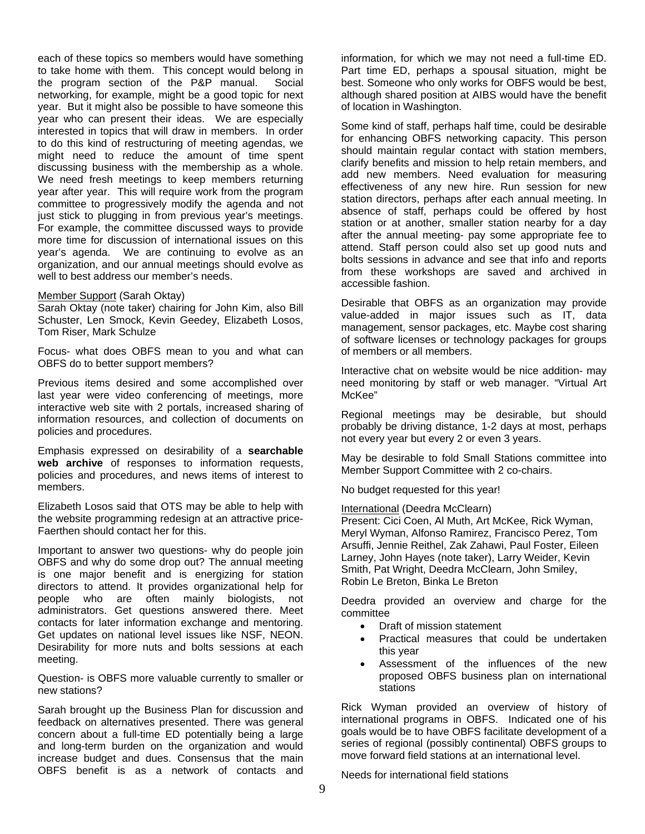each of these topics so members would have something to take home with them. This concept would belong in the program section of the P&P manual. Social networking, for example, might be a good topic for next year. But it might also be possible to have someone this year who can present their ideas. We are especially interested in topics that will draw in members. In order to do this kind of restructuring of meeting agendas, we might need to reduce the amount of time spent discussing business with the membership as a whole. We need fresh meetings to keep members returning year after year. This will require work from the program committee to progressively modify the agenda and not just stick to plugging in from previous year's meetings. For example, the committee discussed ways to provide more time for discussion of international issues on this year's agenda. We are continuing to evolve as an organization, and our annual meetings should evolve as well to best address our member's needs.

#### Member Support (Sarah Oktay)

Sarah Oktay (note taker) chairing for John Kim, also Bill Schuster, Len Smock, Kevin Geedey, Elizabeth Losos, Tom Riser, Mark Schulze

Focus- what does OBFS mean to you and what can OBFS do to better support members?

Previous items desired and some accomplished over last year were video conferencing of meetings, more interactive web site with 2 portals, increased sharing of information resources, and collection of documents on policies and procedures.

Emphasis expressed on desirability of a **searchable web archive** of responses to information requests, policies and procedures, and news items of interest to members.

Elizabeth Losos said that OTS may be able to help with the website programming redesign at an attractive price-Faerthen should contact her for this.

Important to answer two questions- why do people join OBFS and why do some drop out? The annual meeting is one major benefit and is energizing for station directors to attend. It provides organizational help for people who are often mainly biologists, not administrators. Get questions answered there. Meet contacts for later information exchange and mentoring. Get updates on national level issues like NSF, NEON. Desirability for more nuts and bolts sessions at each meeting.

Question- is OBFS more valuable currently to smaller or new stations?

Sarah brought up the Business Plan for discussion and feedback on alternatives presented. There was general concern about a full-time ED potentially being a large and long-term burden on the organization and would increase budget and dues. Consensus that the main OBFS benefit is as a network of contacts and

information, for which we may not need a full-time ED. Part time ED, perhaps a spousal situation, might be best. Someone who only works for OBFS would be best, although shared position at AIBS would have the benefit of location in Washington.

Some kind of staff, perhaps half time, could be desirable for enhancing OBFS networking capacity. This person should maintain regular contact with station members, clarify benefits and mission to help retain members, and add new members. Need evaluation for measuring effectiveness of any new hire. Run session for new station directors, perhaps after each annual meeting. In absence of staff, perhaps could be offered by host station or at another, smaller station nearby for a day after the annual meeting- pay some appropriate fee to attend. Staff person could also set up good nuts and bolts sessions in advance and see that info and reports from these workshops are saved and archived in accessible fashion.

Desirable that OBFS as an organization may provide value-added in major issues such as IT, data management, sensor packages, etc. Maybe cost sharing of software licenses or technology packages for groups of members or all members.

Interactive chat on website would be nice addition- may need monitoring by staff or web manager. "Virtual Art McKee"

Regional meetings may be desirable, but should probably be driving distance, 1-2 days at most, perhaps not every year but every 2 or even 3 years.

May be desirable to fold Small Stations committee into Member Support Committee with 2 co-chairs.

No budget requested for this year!

International (Deedra McClearn)

Present: Cici Coen, Al Muth, Art McKee, Rick Wyman, Meryl Wyman, Alfonso Ramirez, Francisco Perez, Tom Arsuffi, Jennie Reithel, Zak Zahawi, Paul Foster, Eileen Larney, John Hayes (note taker), Larry Weider, Kevin Smith, Pat Wright, Deedra McClearn, John Smiley, Robin Le Breton, Binka Le Breton

Deedra provided an overview and charge for the committee

- Draft of mission statement
- Practical measures that could be undertaken this year
- Assessment of the influences of the new proposed OBFS business plan on international stations

Rick Wyman provided an overview of history of international programs in OBFS. Indicated one of his goals would be to have OBFS facilitate development of a series of regional (possibly continental) OBFS groups to move forward field stations at an international level.

Needs for international field stations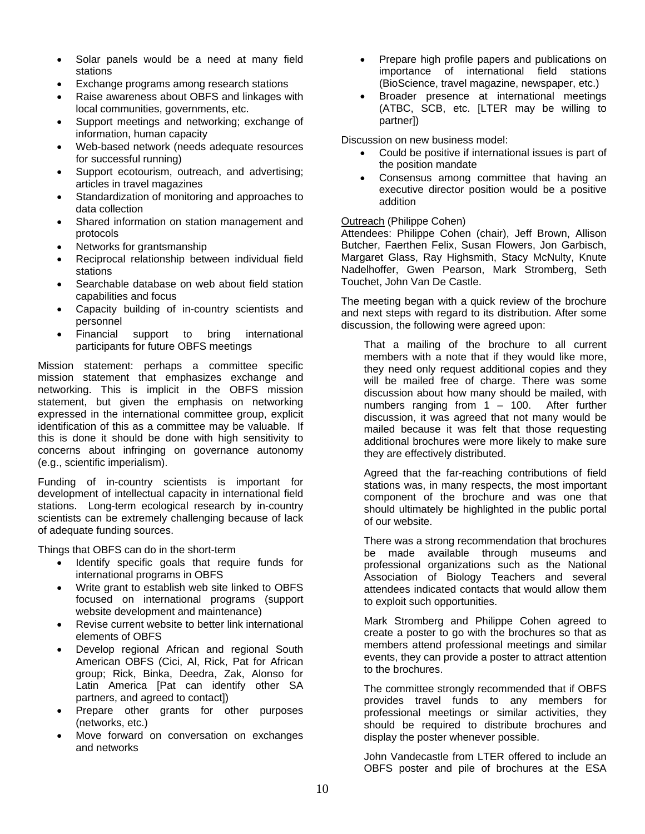- Solar panels would be a need at many field stations
- Exchange programs among research stations
- Raise awareness about OBFS and linkages with local communities, governments, etc.
- Support meetings and networking; exchange of information, human capacity
- Web-based network (needs adequate resources for successful running)
- Support ecotourism, outreach, and advertising; articles in travel magazines
- Standardization of monitoring and approaches to data collection
- Shared information on station management and protocols
- Networks for grantsmanship
- Reciprocal relationship between individual field stations
- Searchable database on web about field station capabilities and focus
- Capacity building of in-country scientists and personnel
- Financial support to bring international participants for future OBFS meetings

Mission statement: perhaps a committee specific mission statement that emphasizes exchange and networking. This is implicit in the OBFS mission statement, but given the emphasis on networking expressed in the international committee group, explicit identification of this as a committee may be valuable. If this is done it should be done with high sensitivity to concerns about infringing on governance autonomy (e.g., scientific imperialism).

Funding of in-country scientists is important for development of intellectual capacity in international field stations. Long-term ecological research by in-country scientists can be extremely challenging because of lack of adequate funding sources.

Things that OBFS can do in the short-term

- Identify specific goals that require funds for international programs in OBFS
- Write grant to establish web site linked to OBFS focused on international programs (support website development and maintenance)
- Revise current website to better link international elements of OBFS
- Develop regional African and regional South American OBFS (Cici, Al, Rick, Pat for African group; Rick, Binka, Deedra, Zak, Alonso for Latin America [Pat can identify other SA partners, and agreed to contact])
- Prepare other grants for other purposes (networks, etc.)
- Move forward on conversation on exchanges and networks
- Prepare high profile papers and publications on importance of international field stations (BioScience, travel magazine, newspaper, etc.)
- Broader presence at international meetings (ATBC, SCB, etc. [LTER may be willing to partner])

Discussion on new business model:

- Could be positive if international issues is part of the position mandate
- Consensus among committee that having an executive director position would be a positive addition

## Outreach (Philippe Cohen)

Attendees: Philippe Cohen (chair), Jeff Brown, Allison Butcher, Faerthen Felix, Susan Flowers, Jon Garbisch, Margaret Glass, Ray Highsmith, Stacy McNulty, Knute Nadelhoffer, Gwen Pearson, Mark Stromberg, Seth Touchet, John Van De Castle.

The meeting began with a quick review of the brochure and next steps with regard to its distribution. After some discussion, the following were agreed upon:

That a mailing of the brochure to all current members with a note that if they would like more, they need only request additional copies and they will be mailed free of charge. There was some discussion about how many should be mailed, with numbers ranging from  $1 - 100$ . After further discussion, it was agreed that not many would be mailed because it was felt that those requesting additional brochures were more likely to make sure they are effectively distributed.

Agreed that the far-reaching contributions of field stations was, in many respects, the most important component of the brochure and was one that should ultimately be highlighted in the public portal of our website.

There was a strong recommendation that brochures be made available through museums and professional organizations such as the National Association of Biology Teachers and several attendees indicated contacts that would allow them to exploit such opportunities.

Mark Stromberg and Philippe Cohen agreed to create a poster to go with the brochures so that as members attend professional meetings and similar events, they can provide a poster to attract attention to the brochures.

The committee strongly recommended that if OBFS provides travel funds to any members for professional meetings or similar activities, they should be required to distribute brochures and display the poster whenever possible.

John Vandecastle from LTER offered to include an OBFS poster and pile of brochures at the ESA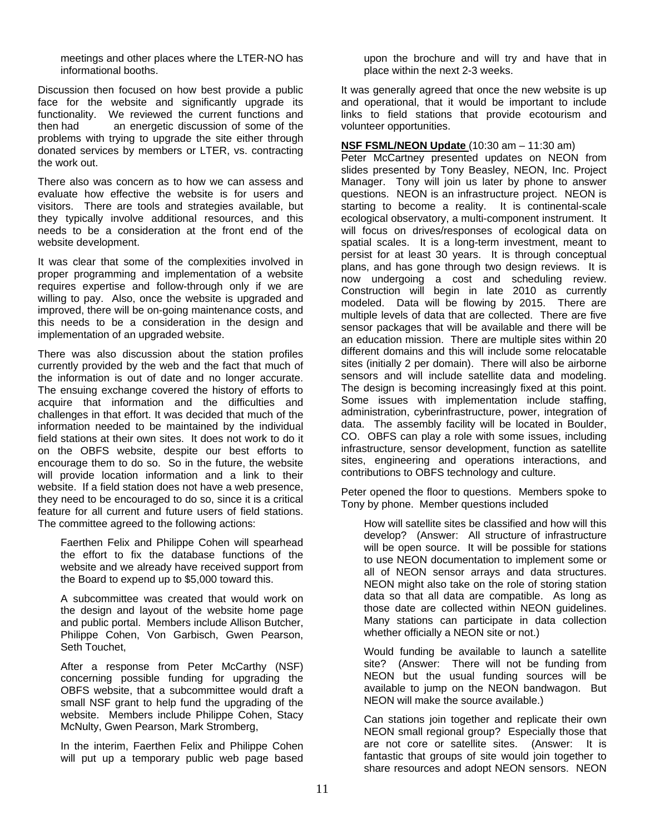meetings and other places where the LTER-NO has informational booths.

Discussion then focused on how best provide a public face for the website and significantly upgrade its functionality. We reviewed the current functions and then had an energetic discussion of some of the problems with trying to upgrade the site either through donated services by members or LTER, vs. contracting the work out.

There also was concern as to how we can assess and evaluate how effective the website is for users and visitors. There are tools and strategies available, but they typically involve additional resources, and this needs to be a consideration at the front end of the website development.

It was clear that some of the complexities involved in proper programming and implementation of a website requires expertise and follow-through only if we are willing to pay. Also, once the website is upgraded and improved, there will be on-going maintenance costs, and this needs to be a consideration in the design and implementation of an upgraded website.

There was also discussion about the station profiles currently provided by the web and the fact that much of the information is out of date and no longer accurate. The ensuing exchange covered the history of efforts to acquire that information and the difficulties and challenges in that effort. It was decided that much of the information needed to be maintained by the individual field stations at their own sites. It does not work to do it on the OBFS website, despite our best efforts to encourage them to do so. So in the future, the website will provide location information and a link to their website. If a field station does not have a web presence, they need to be encouraged to do so, since it is a critical feature for all current and future users of field stations. The committee agreed to the following actions:

Faerthen Felix and Philippe Cohen will spearhead the effort to fix the database functions of the website and we already have received support from the Board to expend up to \$5,000 toward this.

A subcommittee was created that would work on the design and layout of the website home page and public portal. Members include Allison Butcher, Philippe Cohen, Von Garbisch, Gwen Pearson, Seth Touchet,

After a response from Peter McCarthy (NSF) concerning possible funding for upgrading the OBFS website, that a subcommittee would draft a small NSF grant to help fund the upgrading of the website. Members include Philippe Cohen, Stacy McNulty, Gwen Pearson, Mark Stromberg,

In the interim, Faerthen Felix and Philippe Cohen will put up a temporary public web page based

upon the brochure and will try and have that in place within the next 2-3 weeks.

It was generally agreed that once the new website is up and operational, that it would be important to include links to field stations that provide ecotourism and volunteer opportunities.

# **NSF FSML/NEON Update** (10:30 am – 11:30 am)

Peter McCartney presented updates on NEON from slides presented by Tony Beasley, NEON, Inc. Project Manager. Tony will join us later by phone to answer questions. NEON is an infrastructure project. NEON is starting to become a reality. It is continental-scale ecological observatory, a multi-component instrument. It will focus on drives/responses of ecological data on spatial scales. It is a long-term investment, meant to persist for at least 30 years. It is through conceptual plans, and has gone through two design reviews. It is now undergoing a cost and scheduling review. Construction will begin in late 2010 as currently modeled. Data will be flowing by 2015. There are multiple levels of data that are collected. There are five sensor packages that will be available and there will be an education mission. There are multiple sites within 20 different domains and this will include some relocatable sites (initially 2 per domain). There will also be airborne sensors and will include satellite data and modeling. The design is becoming increasingly fixed at this point. Some issues with implementation include staffing, administration, cyberinfrastructure, power, integration of data. The assembly facility will be located in Boulder, CO. OBFS can play a role with some issues, including infrastructure, sensor development, function as satellite sites, engineering and operations interactions, and contributions to OBFS technology and culture.

Peter opened the floor to questions. Members spoke to Tony by phone. Member questions included

How will satellite sites be classified and how will this develop? (Answer: All structure of infrastructure will be open source. It will be possible for stations to use NEON documentation to implement some or all of NEON sensor arrays and data structures. NEON might also take on the role of storing station data so that all data are compatible. As long as those date are collected within NEON guidelines. Many stations can participate in data collection whether officially a NEON site or not.)

Would funding be available to launch a satellite site? (Answer: There will not be funding from NEON but the usual funding sources will be available to jump on the NEON bandwagon. But NEON will make the source available.)

Can stations join together and replicate their own NEON small regional group? Especially those that are not core or satellite sites. (Answer: It is fantastic that groups of site would join together to share resources and adopt NEON sensors. NEON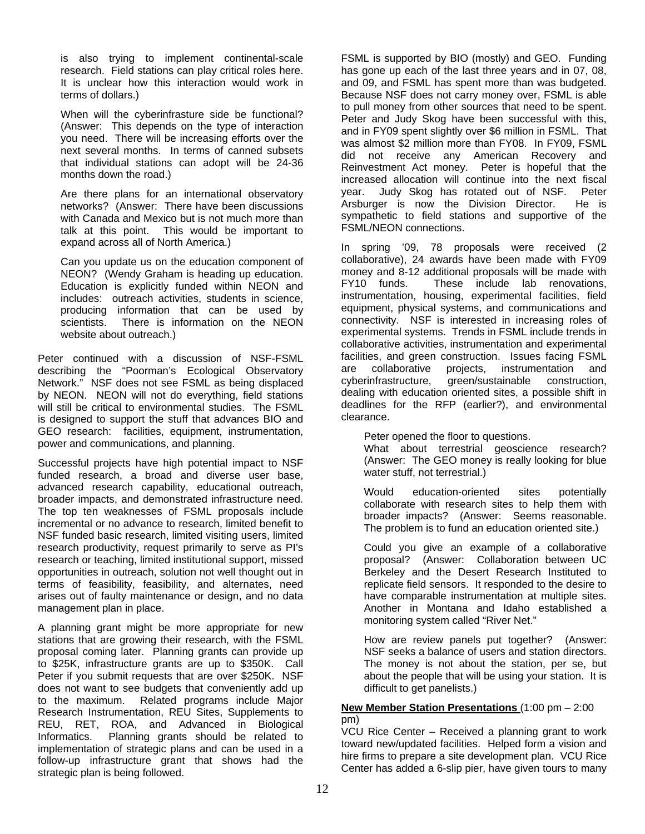is also trying to implement continental-scale research. Field stations can play critical roles here. It is unclear how this interaction would work in terms of dollars.)

When will the cyberinfrasture side be functional? (Answer: This depends on the type of interaction you need. There will be increasing efforts over the next several months. In terms of canned subsets that individual stations can adopt will be 24-36 months down the road.)

Are there plans for an international observatory networks? (Answer: There have been discussions with Canada and Mexico but is not much more than talk at this point. This would be important to expand across all of North America.)

Can you update us on the education component of NEON? (Wendy Graham is heading up education. Education is explicitly funded within NEON and includes: outreach activities, students in science, producing information that can be used by scientists. There is information on the NEON website about outreach.)

Peter continued with a discussion of NSF-FSML describing the "Poorman's Ecological Observatory Network." NSF does not see FSML as being displaced by NEON. NEON will not do everything, field stations will still be critical to environmental studies. The FSML is designed to support the stuff that advances BIO and GEO research: facilities, equipment, instrumentation, power and communications, and planning.

Successful projects have high potential impact to NSF funded research, a broad and diverse user base, advanced research capability, educational outreach, broader impacts, and demonstrated infrastructure need. The top ten weaknesses of FSML proposals include incremental or no advance to research, limited benefit to NSF funded basic research, limited visiting users, limited research productivity, request primarily to serve as PI's research or teaching, limited institutional support, missed opportunities in outreach, solution not well thought out in terms of feasibility, feasibility, and alternates, need arises out of faulty maintenance or design, and no data management plan in place.

A planning grant might be more appropriate for new stations that are growing their research, with the FSML proposal coming later. Planning grants can provide up to \$25K, infrastructure grants are up to \$350K. Call Peter if you submit requests that are over \$250K. NSF does not want to see budgets that conveniently add up to the maximum. Related programs include Major Research Instrumentation, REU Sites, Supplements to REU, RET, ROA, and Advanced in Biological Informatics. Planning grants should be related to implementation of strategic plans and can be used in a follow-up infrastructure grant that shows had the strategic plan is being followed.

FSML is supported by BIO (mostly) and GEO. Funding has gone up each of the last three years and in 07, 08, and 09, and FSML has spent more than was budgeted. Because NSF does not carry money over, FSML is able to pull money from other sources that need to be spent. Peter and Judy Skog have been successful with this, and in FY09 spent slightly over \$6 million in FSML. That was almost \$2 million more than FY08. In FY09, FSML did not receive any American Recovery and Reinvestment Act money. Peter is hopeful that the increased allocation will continue into the next fiscal year. Judy Skog has rotated out of NSF. Peter Arsburger is now the Division Director. He is sympathetic to field stations and supportive of the FSML/NEON connections.

In spring '09, 78 proposals were received (2 collaborative), 24 awards have been made with FY09 money and 8-12 additional proposals will be made with FY10 funds. These include lab renovations, instrumentation, housing, experimental facilities, field equipment, physical systems, and communications and connectivity. NSF is interested in increasing roles of experimental systems. Trends in FSML include trends in collaborative activities, instrumentation and experimental facilities, and green construction. Issues facing FSML are collaborative projects, instrumentation and cyberinfrastructure, green/sustainable construction, dealing with education oriented sites, a possible shift in deadlines for the RFP (earlier?), and environmental clearance.

Peter opened the floor to questions.

What about terrestrial geoscience research? (Answer: The GEO money is really looking for blue water stuff, not terrestrial.)

Would education-oriented sites potentially collaborate with research sites to help them with broader impacts? (Answer: Seems reasonable. The problem is to fund an education oriented site.)

Could you give an example of a collaborative proposal? (Answer: Collaboration between UC Berkeley and the Desert Research Instituted to replicate field sensors. It responded to the desire to have comparable instrumentation at multiple sites. Another in Montana and Idaho established a monitoring system called "River Net."

How are review panels put together? (Answer: NSF seeks a balance of users and station directors. The money is not about the station, per se, but about the people that will be using your station. It is difficult to get panelists.)

#### **New Member Station Presentations** (1:00 pm – 2:00 pm)

VCU Rice Center – Received a planning grant to work toward new/updated facilities. Helped form a vision and hire firms to prepare a site development plan. VCU Rice Center has added a 6-slip pier, have given tours to many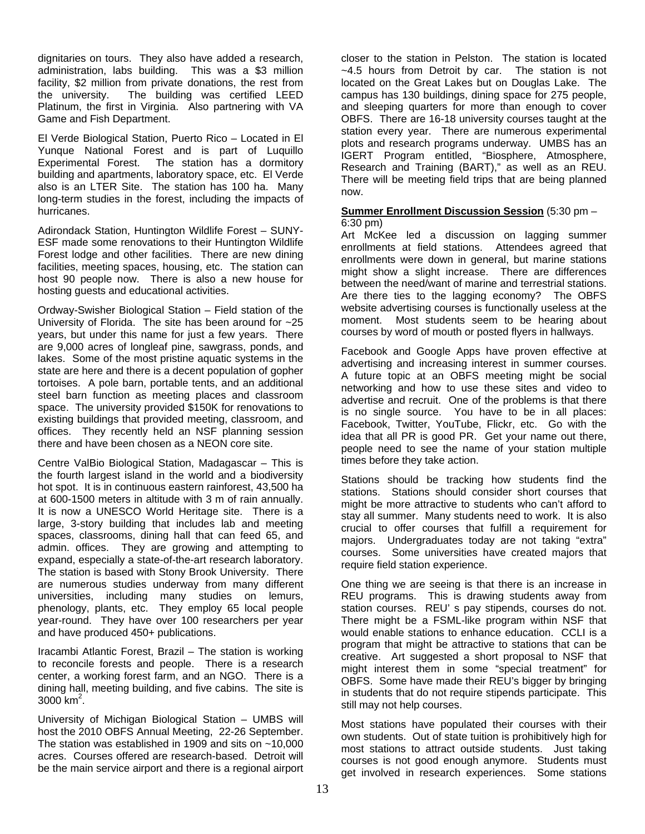dignitaries on tours. They also have added a research, administration, labs building. This was a \$3 million facility, \$2 million from private donations, the rest from the university. The building was certified LEED Platinum, the first in Virginia. Also partnering with VA Game and Fish Department.

El Verde Biological Station, Puerto Rico – Located in El Yunque National Forest and is part of Luquillo Experimental Forest. The station has a dormitory building and apartments, laboratory space, etc. El Verde also is an LTER Site. The station has 100 ha. Many long-term studies in the forest, including the impacts of hurricanes.

Adirondack Station, Huntington Wildlife Forest – SUNY-ESF made some renovations to their Huntington Wildlife Forest lodge and other facilities. There are new dining facilities, meeting spaces, housing, etc. The station can host 90 people now. There is also a new house for hosting guests and educational activities.

Ordway-Swisher Biological Station – Field station of the University of Florida. The site has been around for ~25 years, but under this name for just a few years. There are 9,000 acres of longleaf pine, sawgrass, ponds, and lakes. Some of the most pristine aquatic systems in the state are here and there is a decent population of gopher tortoises. A pole barn, portable tents, and an additional steel barn function as meeting places and classroom space. The university provided \$150K for renovations to existing buildings that provided meeting, classroom, and offices. They recently held an NSF planning session there and have been chosen as a NEON core site.

Centre ValBio Biological Station, Madagascar – This is the fourth largest island in the world and a biodiversity hot spot. It is in continuous eastern rainforest, 43,500 ha at 600-1500 meters in altitude with 3 m of rain annually. It is now a UNESCO World Heritage site. There is a large, 3-story building that includes lab and meeting spaces, classrooms, dining hall that can feed 65, and admin. offices. They are growing and attempting to expand, especially a state-of-the-art research laboratory. The station is based with Stony Brook University. There are numerous studies underway from many different universities, including many studies on lemurs, phenology, plants, etc. They employ 65 local people year-round. They have over 100 researchers per year and have produced 450+ publications.

Iracambi Atlantic Forest, Brazil – The station is working to reconcile forests and people. There is a research center, a working forest farm, and an NGO. There is a dining hall, meeting building, and five cabins. The site is  $3000 \mathrm{~km}^2$ .

University of Michigan Biological Station – UMBS will host the 2010 OBFS Annual Meeting, 22-26 September. The station was established in 1909 and sits on ~10,000 acres. Courses offered are research-based. Detroit will be the main service airport and there is a regional airport

closer to the station in Pelston. The station is located ~4.5 hours from Detroit by car. The station is not located on the Great Lakes but on Douglas Lake. The campus has 130 buildings, dining space for 275 people, and sleeping quarters for more than enough to cover OBFS. There are 16-18 university courses taught at the station every year. There are numerous experimental plots and research programs underway. UMBS has an IGERT Program entitled, "Biosphere, Atmosphere, Research and Training (BART)," as well as an REU. There will be meeting field trips that are being planned now.

#### **Summer Enrollment Discussion Session** (5:30 pm – 6:30 pm)

Art McKee led a discussion on lagging summer enrollments at field stations. Attendees agreed that enrollments were down in general, but marine stations might show a slight increase. There are differences between the need/want of marine and terrestrial stations. Are there ties to the lagging economy? The OBFS website advertising courses is functionally useless at the moment. Most students seem to be hearing about courses by word of mouth or posted flyers in hallways.

Facebook and Google Apps have proven effective at advertising and increasing interest in summer courses. A future topic at an OBFS meeting might be social networking and how to use these sites and video to advertise and recruit. One of the problems is that there is no single source. You have to be in all places: Facebook, Twitter, YouTube, Flickr, etc. Go with the idea that all PR is good PR. Get your name out there, people need to see the name of your station multiple times before they take action.

Stations should be tracking how students find the stations. Stations should consider short courses that might be more attractive to students who can't afford to stay all summer. Many students need to work. It is also crucial to offer courses that fulfill a requirement for majors. Undergraduates today are not taking "extra" courses. Some universities have created majors that require field station experience.

One thing we are seeing is that there is an increase in REU programs. This is drawing students away from station courses. REU' s pay stipends, courses do not. There might be a FSML-like program within NSF that would enable stations to enhance education. CCLI is a program that might be attractive to stations that can be creative. Art suggested a short proposal to NSF that might interest them in some "special treatment" for OBFS. Some have made their REU's bigger by bringing in students that do not require stipends participate. This still may not help courses.

Most stations have populated their courses with their own students. Out of state tuition is prohibitively high for most stations to attract outside students. Just taking courses is not good enough anymore. Students must get involved in research experiences. Some stations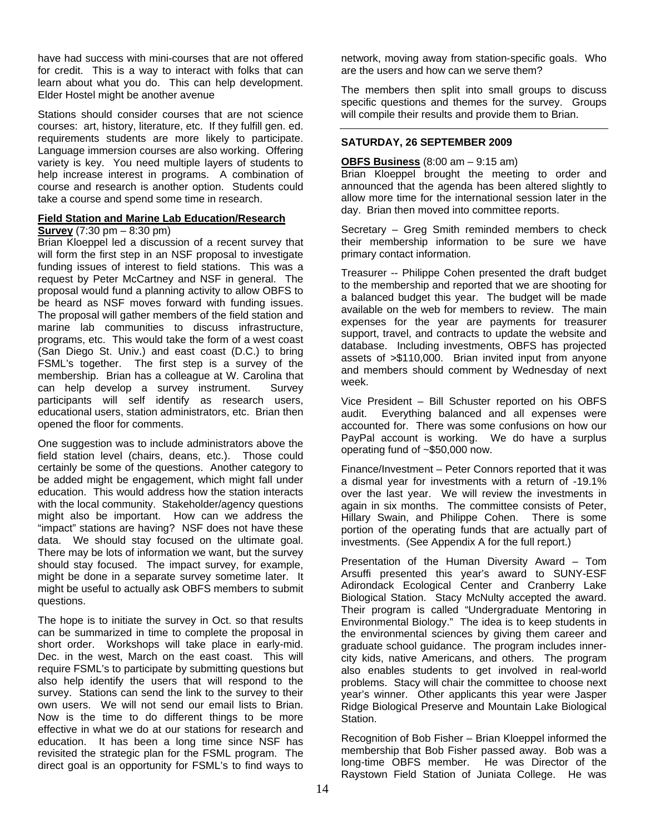have had success with mini-courses that are not offered for credit. This is a way to interact with folks that can learn about what you do. This can help development. Elder Hostel might be another avenue

Stations should consider courses that are not science courses: art, history, literature, etc. If they fulfill gen. ed. requirements students are more likely to participate. Language immersion courses are also working. Offering variety is key. You need multiple layers of students to help increase interest in programs. A combination of course and research is another option. Students could take a course and spend some time in research.

#### **Field Station and Marine Lab Education/Research**

#### **Survey** (7:30 pm – 8:30 pm)

Brian Kloeppel led a discussion of a recent survey that will form the first step in an NSF proposal to investigate funding issues of interest to field stations. This was a request by Peter McCartney and NSF in general. The proposal would fund a planning activity to allow OBFS to be heard as NSF moves forward with funding issues. The proposal will gather members of the field station and marine lab communities to discuss infrastructure, programs, etc. This would take the form of a west coast (San Diego St. Univ.) and east coast (D.C.) to bring FSML's together. The first step is a survey of the membership. Brian has a colleague at W. Carolina that can help develop a survey instrument. Survey participants will self identify as research users, educational users, station administrators, etc. Brian then opened the floor for comments.

One suggestion was to include administrators above the field station level (chairs, deans, etc.). Those could certainly be some of the questions. Another category to be added might be engagement, which might fall under education. This would address how the station interacts with the local community. Stakeholder/agency questions might also be important. How can we address the "impact" stations are having? NSF does not have these data. We should stay focused on the ultimate goal. There may be lots of information we want, but the survey should stay focused. The impact survey, for example, might be done in a separate survey sometime later. It might be useful to actually ask OBFS members to submit questions.

The hope is to initiate the survey in Oct. so that results can be summarized in time to complete the proposal in short order. Workshops will take place in early-mid. Dec. in the west, March on the east coast. This will require FSML's to participate by submitting questions but also help identify the users that will respond to the survey. Stations can send the link to the survey to their own users. We will not send our email lists to Brian. Now is the time to do different things to be more effective in what we do at our stations for research and education. It has been a long time since NSF has revisited the strategic plan for the FSML program. The direct goal is an opportunity for FSML's to find ways to

network, moving away from station-specific goals. Who are the users and how can we serve them?

The members then split into small groups to discuss specific questions and themes for the survey. Groups will compile their results and provide them to Brian.

#### **SATURDAY, 26 SEPTEMBER 2009**

#### **OBFS Business** (8:00 am – 9:15 am)

Brian Kloeppel brought the meeting to order and announced that the agenda has been altered slightly to allow more time for the international session later in the day. Brian then moved into committee reports.

Secretary – Greg Smith reminded members to check their membership information to be sure we have primary contact information.

Treasurer -- Philippe Cohen presented the draft budget to the membership and reported that we are shooting for a balanced budget this year. The budget will be made available on the web for members to review. The main expenses for the year are payments for treasurer support, travel, and contracts to update the website and database. Including investments, OBFS has projected assets of >\$110,000. Brian invited input from anyone and members should comment by Wednesday of next week.

Vice President – Bill Schuster reported on his OBFS audit. Everything balanced and all expenses were accounted for. There was some confusions on how our PayPal account is working. We do have a surplus operating fund of ~\$50,000 now.

Finance/Investment – Peter Connors reported that it was a dismal year for investments with a return of -19.1% over the last year. We will review the investments in again in six months. The committee consists of Peter, Hillary Swain, and Philippe Cohen. There is some portion of the operating funds that are actually part of investments. (See Appendix A for the full report.)

Presentation of the Human Diversity Award – Tom Arsuffi presented this year's award to SUNY-ESF Adirondack Ecological Center and Cranberry Lake Biological Station. Stacy McNulty accepted the award. Their program is called "Undergraduate Mentoring in Environmental Biology." The idea is to keep students in the environmental sciences by giving them career and graduate school guidance. The program includes innercity kids, native Americans, and others. The program also enables students to get involved in real-world problems. Stacy will chair the committee to choose next year's winner. Other applicants this year were Jasper Ridge Biological Preserve and Mountain Lake Biological Station.

Recognition of Bob Fisher – Brian Kloeppel informed the membership that Bob Fisher passed away. Bob was a long-time OBFS member. He was Director of the Raystown Field Station of Juniata College. He was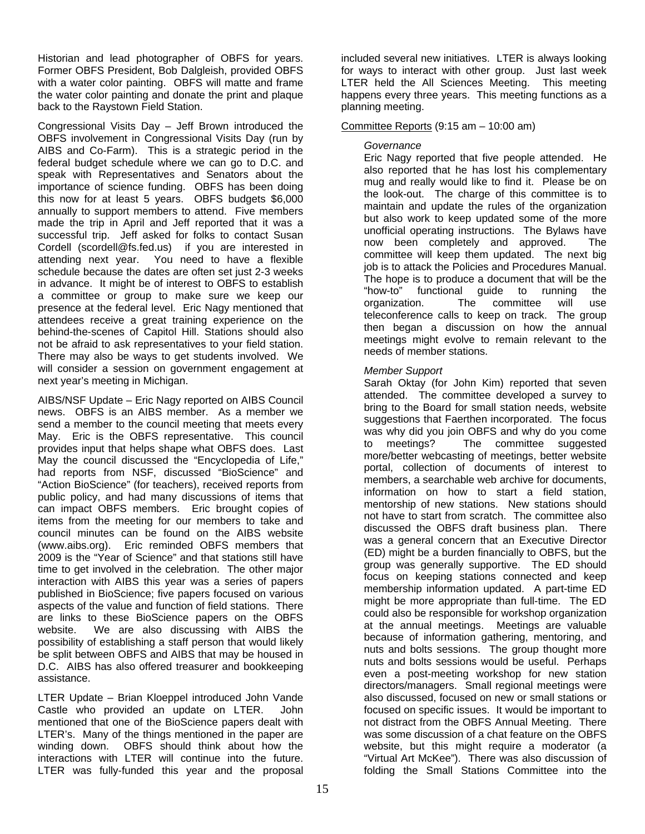Historian and lead photographer of OBFS for years. Former OBFS President, Bob Dalgleish, provided OBFS with a water color painting. OBFS will matte and frame the water color painting and donate the print and plaque back to the Raystown Field Station.

Congressional Visits Day – Jeff Brown introduced the OBFS involvement in Congressional Visits Day (run by AIBS and Co-Farm). This is a strategic period in the federal budget schedule where we can go to D.C. and speak with Representatives and Senators about the importance of science funding. OBFS has been doing this now for at least 5 years. OBFS budgets \$6,000 annually to support members to attend. Five members made the trip in April and Jeff reported that it was a successful trip. Jeff asked for folks to contact Susan Cordell (scordell@fs.fed.us) if you are interested in attending next year. You need to have a flexible schedule because the dates are often set just 2-3 weeks in advance. It might be of interest to OBFS to establish a committee or group to make sure we keep our presence at the federal level. Eric Nagy mentioned that attendees receive a great training experience on the behind-the-scenes of Capitol Hill. Stations should also not be afraid to ask representatives to your field station. There may also be ways to get students involved. We will consider a session on government engagement at next year's meeting in Michigan.

AIBS/NSF Update – Eric Nagy reported on AIBS Council news. OBFS is an AIBS member. As a member we send a member to the council meeting that meets every May. Eric is the OBFS representative. This council provides input that helps shape what OBFS does. Last May the council discussed the "Encyclopedia of Life," had reports from NSF, discussed "BioScience" and "Action BioScience" (for teachers), received reports from public policy, and had many discussions of items that can impact OBFS members. Eric brought copies of items from the meeting for our members to take and council minutes can be found on the AIBS website (www.aibs.org). Eric reminded OBFS members that 2009 is the "Year of Science" and that stations still have time to get involved in the celebration. The other major interaction with AIBS this year was a series of papers published in BioScience; five papers focused on various aspects of the value and function of field stations. There are links to these BioScience papers on the OBFS website. We are also discussing with AIBS the possibility of establishing a staff person that would likely be split between OBFS and AIBS that may be housed in D.C. AIBS has also offered treasurer and bookkeeping assistance.

LTER Update – Brian Kloeppel introduced John Vande Castle who provided an update on LTER. John mentioned that one of the BioScience papers dealt with LTER's. Many of the things mentioned in the paper are winding down. OBFS should think about how the interactions with LTER will continue into the future. LTER was fully-funded this year and the proposal

included several new initiatives. LTER is always looking for ways to interact with other group. Just last week LTER held the All Sciences Meeting. This meeting happens every three years. This meeting functions as a planning meeting.

# Committee Reports (9:15 am – 10:00 am)

# *Governance*

Eric Nagy reported that five people attended. He also reported that he has lost his complementary mug and really would like to find it. Please be on the look-out. The charge of this committee is to maintain and update the rules of the organization but also work to keep updated some of the more unofficial operating instructions. The Bylaws have now been completely and approved. The committee will keep them updated. The next big job is to attack the Policies and Procedures Manual. The hope is to produce a document that will be the "how-to" functional guide to running the organization. The committee will use teleconference calls to keep on track. The group then began a discussion on how the annual meetings might evolve to remain relevant to the needs of member stations.

## *Member Support*

Sarah Oktay (for John Kim) reported that seven attended. The committee developed a survey to bring to the Board for small station needs, website suggestions that Faerthen incorporated. The focus was why did you join OBFS and why do you come to meetings? The committee suggested more/better webcasting of meetings, better website portal, collection of documents of interest to members, a searchable web archive for documents, information on how to start a field station, mentorship of new stations. New stations should not have to start from scratch. The committee also discussed the OBFS draft business plan. There was a general concern that an Executive Director (ED) might be a burden financially to OBFS, but the group was generally supportive. The ED should focus on keeping stations connected and keep membership information updated. A part-time ED might be more appropriate than full-time. The ED could also be responsible for workshop organization at the annual meetings. Meetings are valuable because of information gathering, mentoring, and nuts and bolts sessions. The group thought more nuts and bolts sessions would be useful. Perhaps even a post-meeting workshop for new station directors/managers. Small regional meetings were also discussed, focused on new or small stations or focused on specific issues. It would be important to not distract from the OBFS Annual Meeting. There was some discussion of a chat feature on the OBFS website, but this might require a moderator (a "Virtual Art McKee"). There was also discussion of folding the Small Stations Committee into the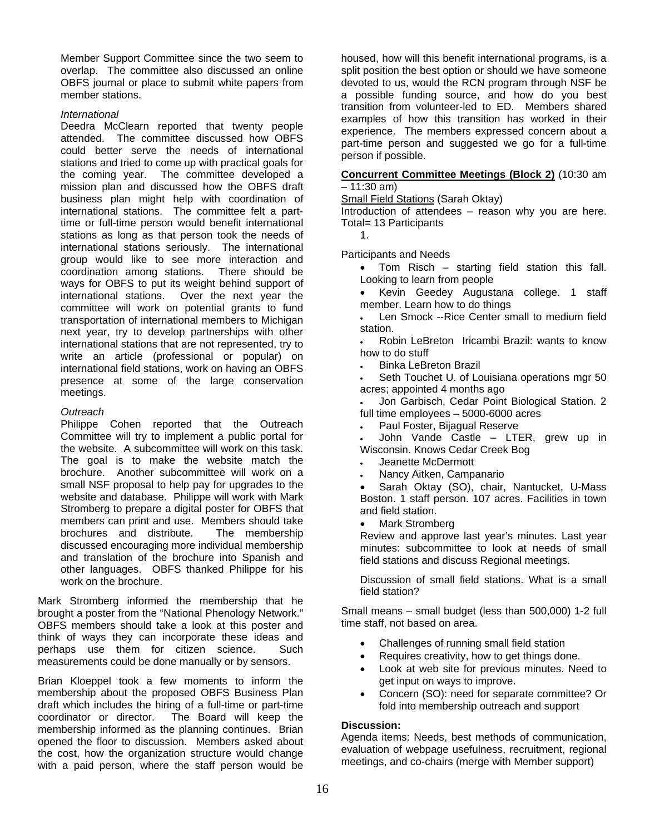Member Support Committee since the two seem to overlap. The committee also discussed an online OBFS journal or place to submit white papers from member stations.

#### *International*

Deedra McClearn reported that twenty people attended. The committee discussed how OBFS could better serve the needs of international stations and tried to come up with practical goals for the coming year. The committee developed a mission plan and discussed how the OBFS draft business plan might help with coordination of international stations. The committee felt a parttime or full-time person would benefit international stations as long as that person took the needs of international stations seriously. The international group would like to see more interaction and coordination among stations. There should be ways for OBFS to put its weight behind support of international stations. Over the next year the committee will work on potential grants to fund transportation of international members to Michigan next year, try to develop partnerships with other international stations that are not represented, try to write an article (professional or popular) on international field stations, work on having an OBFS presence at some of the large conservation meetings.

# *Outreach*

Philippe Cohen reported that the Outreach Committee will try to implement a public portal for the website. A subcommittee will work on this task. The goal is to make the website match the brochure. Another subcommittee will work on a small NSF proposal to help pay for upgrades to the website and database. Philippe will work with Mark Stromberg to prepare a digital poster for OBFS that members can print and use. Members should take brochures and distribute. The membership discussed encouraging more individual membership and translation of the brochure into Spanish and other languages. OBFS thanked Philippe for his work on the brochure.

Mark Stromberg informed the membership that he brought a poster from the "National Phenology Network." OBFS members should take a look at this poster and think of ways they can incorporate these ideas and perhaps use them for citizen science. Such measurements could be done manually or by sensors.

Brian Kloeppel took a few moments to inform the membership about the proposed OBFS Business Plan draft which includes the hiring of a full-time or part-time coordinator or director. The Board will keep the membership informed as the planning continues. Brian opened the floor to discussion. Members asked about the cost, how the organization structure would change with a paid person, where the staff person would be

housed, how will this benefit international programs, is a split position the best option or should we have someone devoted to us, would the RCN program through NSF be a possible funding source, and how do you best transition from volunteer-led to ED. Members shared examples of how this transition has worked in their experience. The members expressed concern about a part-time person and suggested we go for a full-time person if possible.

**Concurrent Committee Meetings (Block 2)** (10:30 am – 11:30 am)

Small Field Stations (Sarah Oktay)

Introduction of attendees – reason why you are here. Total= 13 Participants

1.

Participants and Needs

 Tom Risch – starting field station this fall. Looking to learn from people

• Kevin Geedey Augustana college. 1 staff member. Learn how to do things

 Len Smock --Rice Center small to medium field station.

 Robin LeBreton Iricambi Brazil: wants to know how to do stuff

Binka LeBreton Brazil

 Seth Touchet U. of Louisiana operations mgr 50 acres; appointed 4 months ago

 Jon Garbisch, Cedar Point Biological Station. 2 full time employees – 5000-6000 acres

Paul Foster, Bijagual Reserve

 John Vande Castle – LTER, grew up in Wisconsin. Knows Cedar Creek Bog

- Jeanette McDermott
- Nancy Aitken, Campanario

 Sarah Oktay (SO), chair, Nantucket, U-Mass Boston. 1 staff person. 107 acres. Facilities in town and field station.

• Mark Stromberg

Review and approve last year's minutes. Last year minutes: subcommittee to look at needs of small field stations and discuss Regional meetings.

Discussion of small field stations. What is a small field station?

Small means – small budget (less than 500,000) 1-2 full time staff, not based on area.

- Challenges of running small field station
- Requires creativity, how to get things done.
- Look at web site for previous minutes. Need to get input on ways to improve.
- Concern (SO): need for separate committee? Or fold into membership outreach and support

# **Discussion:**

Agenda items: Needs, best methods of communication, evaluation of webpage usefulness, recruitment, regional meetings, and co-chairs (merge with Member support)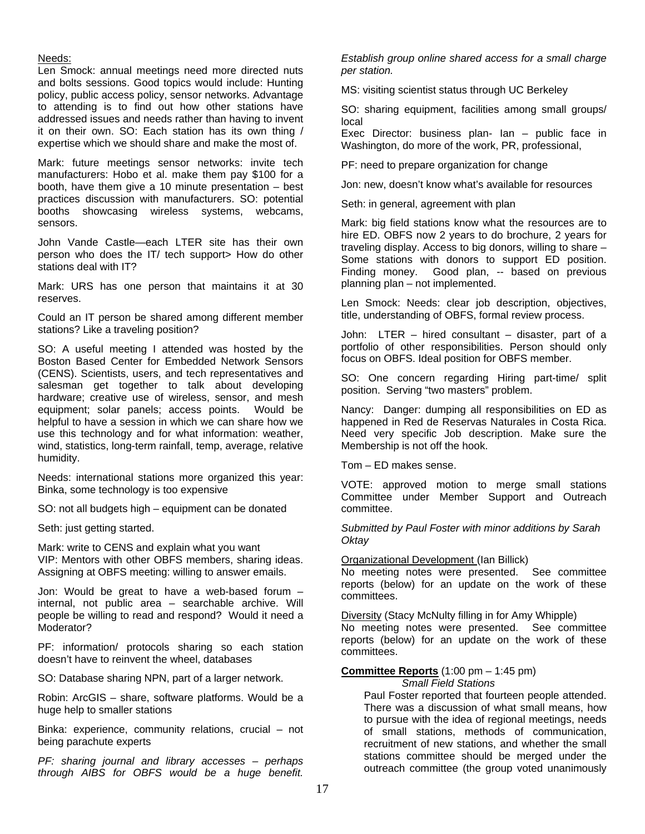Needs:

Len Smock: annual meetings need more directed nuts and bolts sessions. Good topics would include: Hunting policy, public access policy, sensor networks. Advantage to attending is to find out how other stations have addressed issues and needs rather than having to invent it on their own. SO: Each station has its own thing / expertise which we should share and make the most of.

Mark: future meetings sensor networks: invite tech manufacturers: Hobo et al. make them pay \$100 for a booth, have them give a 10 minute presentation – best practices discussion with manufacturers. SO: potential booths showcasing wireless systems, webcams, sensors.

John Vande Castle—each LTER site has their own person who does the IT/ tech support> How do other stations deal with IT?

Mark: URS has one person that maintains it at 30 reserves.

Could an IT person be shared among different member stations? Like a traveling position?

SO: A useful meeting I attended was hosted by the Boston Based Center for Embedded Network Sensors (CENS). Scientists, users, and tech representatives and salesman get together to talk about developing hardware; creative use of wireless, sensor, and mesh equipment; solar panels; access points. Would be helpful to have a session in which we can share how we use this technology and for what information: weather, wind, statistics, long-term rainfall, temp, average, relative humidity.

Needs: international stations more organized this year: Binka, some technology is too expensive

SO: not all budgets high – equipment can be donated

Seth: just getting started.

Mark: write to CENS and explain what you want VIP: Mentors with other OBFS members, sharing ideas. Assigning at OBFS meeting: willing to answer emails.

Jon: Would be great to have a web-based forum – internal, not public area – searchable archive. Will people be willing to read and respond? Would it need a Moderator?

PF: information/ protocols sharing so each station doesn't have to reinvent the wheel, databases

SO: Database sharing NPN, part of a larger network.

Robin: ArcGIS – share, software platforms. Would be a huge help to smaller stations

Binka: experience, community relations, crucial – not being parachute experts

*PF: sharing journal and library accesses – perhaps through AIBS for OBFS would be a huge benefit.* 

*Establish group online shared access for a small charge per station.* 

MS: visiting scientist status through UC Berkeley

SO: sharing equipment, facilities among small groups/ local

Exec Director: business plan- Ian – public face in Washington, do more of the work, PR, professional,

PF: need to prepare organization for change

Jon: new, doesn't know what's available for resources

Seth: in general, agreement with plan

Mark: big field stations know what the resources are to hire ED. OBFS now 2 years to do brochure, 2 years for traveling display. Access to big donors, willing to share – Some stations with donors to support ED position. Finding money. Good plan, -- based on previous planning plan – not implemented.

Len Smock: Needs: clear job description, objectives, title, understanding of OBFS, formal review process.

John: LTER – hired consultant – disaster, part of a portfolio of other responsibilities. Person should only focus on OBFS. Ideal position for OBFS member.

SO: One concern regarding Hiring part-time/ split position. Serving "two masters" problem.

Nancy: Danger: dumping all responsibilities on ED as happened in Red de Reservas Naturales in Costa Rica. Need very specific Job description. Make sure the Membership is not off the hook.

Tom – ED makes sense.

VOTE: approved motion to merge small stations Committee under Member Support and Outreach committee.

*Submitted by Paul Foster with minor additions by Sarah Oktay* 

#### Organizational Development (Ian Billick)

No meeting notes were presented. See committee reports (below) for an update on the work of these committees.

Diversity (Stacy McNulty filling in for Amy Whipple) No meeting notes were presented. See committee reports (below) for an update on the work of these committees.

## **Committee Reports** (1:00 pm – 1:45 pm)

*Small Field Stations*  Paul Foster reported that fourteen people attended. There was a discussion of what small means, how to pursue with the idea of regional meetings, needs of small stations, methods of communication, recruitment of new stations, and whether the small stations committee should be merged under the outreach committee (the group voted unanimously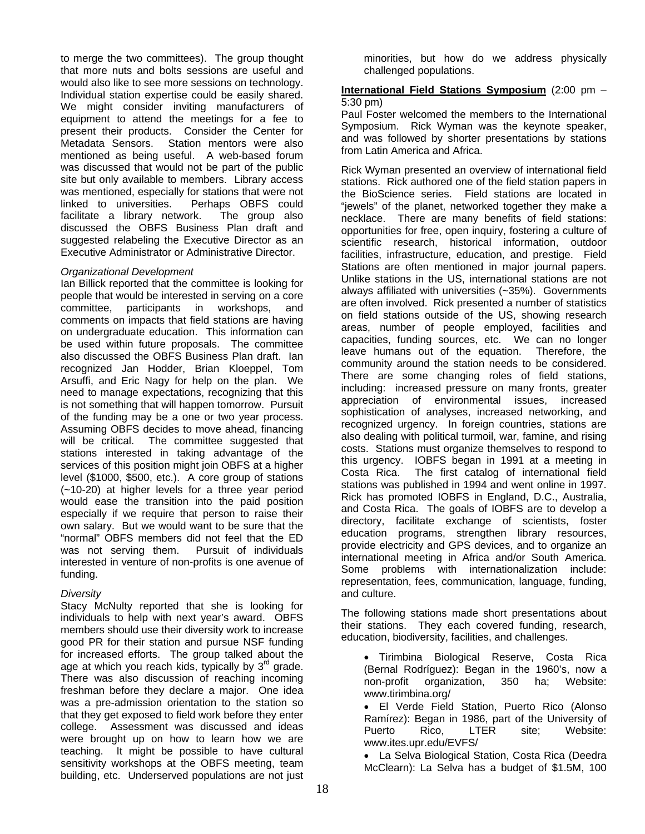to merge the two committees). The group thought that more nuts and bolts sessions are useful and would also like to see more sessions on technology. Individual station expertise could be easily shared. We might consider inviting manufacturers of equipment to attend the meetings for a fee to present their products. Consider the Center for Metadata Sensors. Station mentors were also mentioned as being useful. A web-based forum was discussed that would not be part of the public site but only available to members. Library access was mentioned, especially for stations that were not linked to universities. Perhaps OBFS could facilitate a library network. The group also discussed the OBFS Business Plan draft and suggested relabeling the Executive Director as an Executive Administrator or Administrative Director.

# *Organizational Development*

Ian Billick reported that the committee is looking for people that would be interested in serving on a core committee, participants in workshops, and comments on impacts that field stations are having on undergraduate education. This information can be used within future proposals. The committee also discussed the OBFS Business Plan draft. Ian recognized Jan Hodder, Brian Kloeppel, Tom Arsuffi, and Eric Nagy for help on the plan. We need to manage expectations, recognizing that this is not something that will happen tomorrow. Pursuit of the funding may be a one or two year process. Assuming OBFS decides to move ahead, financing will be critical. The committee suggested that stations interested in taking advantage of the services of this position might join OBFS at a higher level (\$1000, \$500, etc.). A core group of stations (~10-20) at higher levels for a three year period would ease the transition into the paid position especially if we require that person to raise their own salary. But we would want to be sure that the "normal" OBFS members did not feel that the ED was not serving them. Pursuit of individuals interested in venture of non-profits is one avenue of funding.

#### *Diversity*

Stacy McNulty reported that she is looking for individuals to help with next year's award. OBFS members should use their diversity work to increase good PR for their station and pursue NSF funding for increased efforts. The group talked about the age at which you reach kids, typically by  $3<sup>rd</sup>$  grade. There was also discussion of reaching incoming freshman before they declare a major. One idea was a pre-admission orientation to the station so that they get exposed to field work before they enter college. Assessment was discussed and ideas were brought up on how to learn how we are teaching. It might be possible to have cultural sensitivity workshops at the OBFS meeting, team building, etc. Underserved populations are not just

minorities, but how do we address physically challenged populations.

## **International Field Stations Symposium** (2:00 pm – 5:30 pm)

Paul Foster welcomed the members to the International Symposium. Rick Wyman was the keynote speaker, and was followed by shorter presentations by stations from Latin America and Africa.

Rick Wyman presented an overview of international field stations. Rick authored one of the field station papers in the BioScience series. Field stations are located in "jewels" of the planet, networked together they make a necklace. There are many benefits of field stations: opportunities for free, open inquiry, fostering a culture of scientific research, historical information, outdoor facilities, infrastructure, education, and prestige. Field Stations are often mentioned in major journal papers. Unlike stations in the US, international stations are not always affiliated with universities (~35%). Governments are often involved. Rick presented a number of statistics on field stations outside of the US, showing research areas, number of people employed, facilities and capacities, funding sources, etc. We can no longer leave humans out of the equation. Therefore, the community around the station needs to be considered. There are some changing roles of field stations, including: increased pressure on many fronts, greater appreciation of environmental issues, increased sophistication of analyses, increased networking, and recognized urgency. In foreign countries, stations are also dealing with political turmoil, war, famine, and rising costs. Stations must organize themselves to respond to this urgency. IOBFS began in 1991 at a meeting in Costa Rica. The first catalog of international field stations was published in 1994 and went online in 1997. Rick has promoted IOBFS in England, D.C., Australia, and Costa Rica. The goals of IOBFS are to develop a directory, facilitate exchange of scientists, foster education programs, strengthen library resources, provide electricity and GPS devices, and to organize an international meeting in Africa and/or South America. Some problems with internationalization include: representation, fees, communication, language, funding, and culture.

The following stations made short presentations about their stations. They each covered funding, research, education, biodiversity, facilities, and challenges.

- Tirimbina Biological Reserve, Costa Rica (Bernal Rodríguez): Began in the 1960's, now a non-profit organization, 350 ha; Website: www.tirimbina.org/
- El Verde Field Station, Puerto Rico (Alonso Ramírez): Began in 1986, part of the University of Puerto Rico, LTER site; Website: www.ites.upr.edu/EVFS/

 La Selva Biological Station, Costa Rica (Deedra McClearn): La Selva has a budget of \$1.5M, 100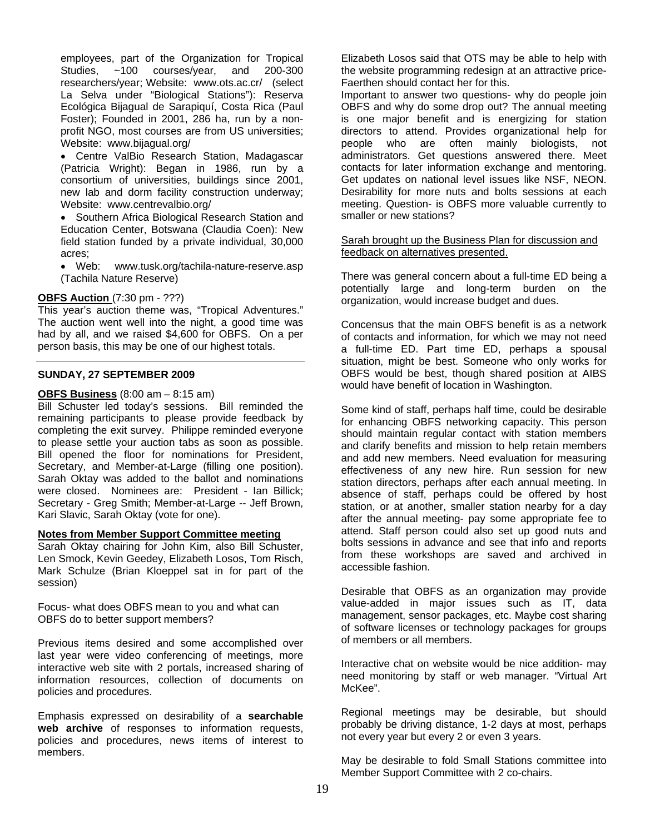employees, part of the Organization for Tropical Studies, ~100 courses/year, and 200-300 researchers/year; Website: www.ots.ac.cr/ (select La Selva under "Biological Stations"): Reserva Ecológica Bijagual de Sarapiquí, Costa Rica (Paul Foster); Founded in 2001, 286 ha, run by a nonprofit NGO, most courses are from US universities; Website: www.bijagual.org/

 Centre ValBio Research Station, Madagascar (Patricia Wright): Began in 1986, run by a consortium of universities, buildings since 2001, new lab and dorm facility construction underway; Website: www.centrevalbio.org/

• Southern Africa Biological Research Station and Education Center, Botswana (Claudia Coen): New field station funded by a private individual, 30,000 acres;

 Web: www.tusk.org/tachila-nature-reserve.asp (Tachila Nature Reserve)

#### **OBFS Auction** (7:30 pm - ???)

This year's auction theme was, "Tropical Adventures." The auction went well into the night, a good time was had by all, and we raised \$4,600 for OBFS. On a per person basis, this may be one of our highest totals.

#### **SUNDAY, 27 SEPTEMBER 2009**

#### **OBFS Business** (8:00 am – 8:15 am)

Bill Schuster led today's sessions. Bill reminded the remaining participants to please provide feedback by completing the exit survey. Philippe reminded everyone to please settle your auction tabs as soon as possible. Bill opened the floor for nominations for President, Secretary, and Member-at-Large (filling one position). Sarah Oktay was added to the ballot and nominations were closed. Nominees are: President - Ian Billick; Secretary - Greg Smith; Member-at-Large -- Jeff Brown, Kari Slavic, Sarah Oktay (vote for one).

#### **Notes from Member Support Committee meeting**

Sarah Oktay chairing for John Kim, also Bill Schuster, Len Smock, Kevin Geedey, Elizabeth Losos, Tom Risch, Mark Schulze (Brian Kloeppel sat in for part of the session)

Focus- what does OBFS mean to you and what can OBFS do to better support members?

Previous items desired and some accomplished over last year were video conferencing of meetings, more interactive web site with 2 portals, increased sharing of information resources, collection of documents on policies and procedures.

Emphasis expressed on desirability of a **searchable web archive** of responses to information requests, policies and procedures, news items of interest to members.

Elizabeth Losos said that OTS may be able to help with the website programming redesign at an attractive price-Faerthen should contact her for this.

Important to answer two questions- why do people join OBFS and why do some drop out? The annual meeting is one major benefit and is energizing for station directors to attend. Provides organizational help for people who are often mainly biologists, not administrators. Get questions answered there. Meet contacts for later information exchange and mentoring. Get updates on national level issues like NSF, NEON. Desirability for more nuts and bolts sessions at each meeting. Question- is OBFS more valuable currently to smaller or new stations?

Sarah brought up the Business Plan for discussion and feedback on alternatives presented.

There was general concern about a full-time ED being a potentially large and long-term burden on the organization, would increase budget and dues.

Concensus that the main OBFS benefit is as a network of contacts and information, for which we may not need a full-time ED. Part time ED, perhaps a spousal situation, might be best. Someone who only works for OBFS would be best, though shared position at AIBS would have benefit of location in Washington.

Some kind of staff, perhaps half time, could be desirable for enhancing OBFS networking capacity. This person should maintain regular contact with station members and clarify benefits and mission to help retain members and add new members. Need evaluation for measuring effectiveness of any new hire. Run session for new station directors, perhaps after each annual meeting. In absence of staff, perhaps could be offered by host station, or at another, smaller station nearby for a day after the annual meeting- pay some appropriate fee to attend. Staff person could also set up good nuts and bolts sessions in advance and see that info and reports from these workshops are saved and archived in accessible fashion.

Desirable that OBFS as an organization may provide value-added in major issues such as IT, data management, sensor packages, etc. Maybe cost sharing of software licenses or technology packages for groups of members or all members.

Interactive chat on website would be nice addition- may need monitoring by staff or web manager. "Virtual Art McKee".

Regional meetings may be desirable, but should probably be driving distance, 1-2 days at most, perhaps not every year but every 2 or even 3 years.

May be desirable to fold Small Stations committee into Member Support Committee with 2 co-chairs.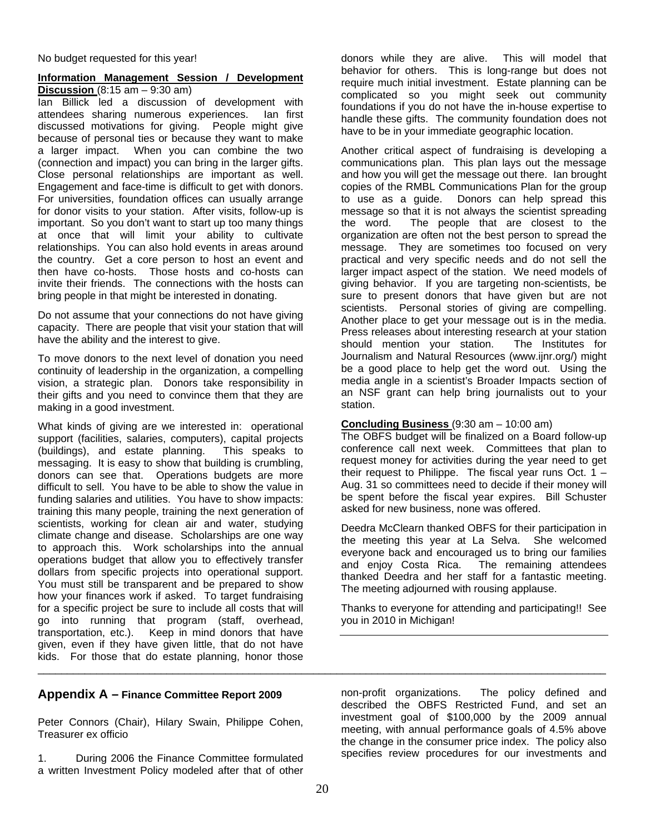No budget requested for this year!

#### **Information Management Session / Development Discussion** (8:15 am – 9:30 am)

Ian Billick led a discussion of development with attendees sharing numerous experiences. Ian first discussed motivations for giving. People might give because of personal ties or because they want to make a larger impact. When you can combine the two (connection and impact) you can bring in the larger gifts. Close personal relationships are important as well. Engagement and face-time is difficult to get with donors. For universities, foundation offices can usually arrange for donor visits to your station. After visits, follow-up is important. So you don't want to start up too many things at once that will limit your ability to cultivate relationships. You can also hold events in areas around the country. Get a core person to host an event and then have co-hosts. Those hosts and co-hosts can invite their friends. The connections with the hosts can bring people in that might be interested in donating.

Do not assume that your connections do not have giving capacity. There are people that visit your station that will have the ability and the interest to give.

To move donors to the next level of donation you need continuity of leadership in the organization, a compelling vision, a strategic plan. Donors take responsibility in their gifts and you need to convince them that they are making in a good investment.

What kinds of giving are we interested in: operational support (facilities, salaries, computers), capital projects (buildings), and estate planning. This speaks to messaging. It is easy to show that building is crumbling, donors can see that. Operations budgets are more difficult to sell. You have to be able to show the value in funding salaries and utilities. You have to show impacts: training this many people, training the next generation of scientists, working for clean air and water, studying climate change and disease. Scholarships are one way to approach this. Work scholarships into the annual operations budget that allow you to effectively transfer dollars from specific projects into operational support. You must still be transparent and be prepared to show how your finances work if asked. To target fundraising for a specific project be sure to include all costs that will go into running that program (staff, overhead, transportation, etc.). Keep in mind donors that have given, even if they have given little, that do not have kids. For those that do estate planning, honor those

donors while they are alive. This will model that behavior for others. This is long-range but does not require much initial investment. Estate planning can be complicated so you might seek out community foundations if you do not have the in-house expertise to handle these gifts. The community foundation does not have to be in your immediate geographic location.

Another critical aspect of fundraising is developing a communications plan. This plan lays out the message and how you will get the message out there. Ian brought copies of the RMBL Communications Plan for the group to use as a guide. Donors can help spread this message so that it is not always the scientist spreading the word. The people that are closest to the organization are often not the best person to spread the message. They are sometimes too focused on very practical and very specific needs and do not sell the larger impact aspect of the station. We need models of giving behavior. If you are targeting non-scientists, be sure to present donors that have given but are not scientists. Personal stories of giving are compelling. Another place to get your message out is in the media. Press releases about interesting research at your station should mention your station. The Institutes for Journalism and Natural Resources (www.ijnr.org/) might be a good place to help get the word out. Using the media angle in a scientist's Broader Impacts section of an NSF grant can help bring journalists out to your station.

# **Concluding Business** (9:30 am – 10:00 am)

The OBFS budget will be finalized on a Board follow-up conference call next week. Committees that plan to request money for activities during the year need to get their request to Philippe. The fiscal year runs Oct.  $1 -$ Aug. 31 so committees need to decide if their money will be spent before the fiscal year expires. Bill Schuster asked for new business, none was offered.

Deedra McClearn thanked OBFS for their participation in the meeting this year at La Selva. She welcomed everyone back and encouraged us to bring our families and enjoy Costa Rica. The remaining attendees thanked Deedra and her staff for a fantastic meeting. The meeting adjourned with rousing applause.

Thanks to everyone for attending and participating!! See you in 2010 in Michigan!

# **Appendix A – Finance Committee Report 2009**

Peter Connors (Chair), Hilary Swain, Philippe Cohen, Treasurer ex officio

1. During 2006 the Finance Committee formulated a written Investment Policy modeled after that of other

non-profit organizations. The policy defined and described the OBFS Restricted Fund, and set an investment goal of \$100,000 by the 2009 annual meeting, with annual performance goals of 4.5% above the change in the consumer price index. The policy also specifies review procedures for our investments and

\_\_\_\_\_\_\_\_\_\_\_\_\_\_\_\_\_\_\_\_\_\_\_\_\_\_\_\_\_\_\_\_\_\_\_\_\_\_\_\_\_\_\_\_\_\_\_\_\_\_\_\_\_\_\_\_\_\_\_\_\_\_\_\_\_\_\_\_\_\_\_\_\_\_\_\_\_\_\_\_\_\_\_\_\_\_\_\_\_\_\_\_\_\_\_\_\_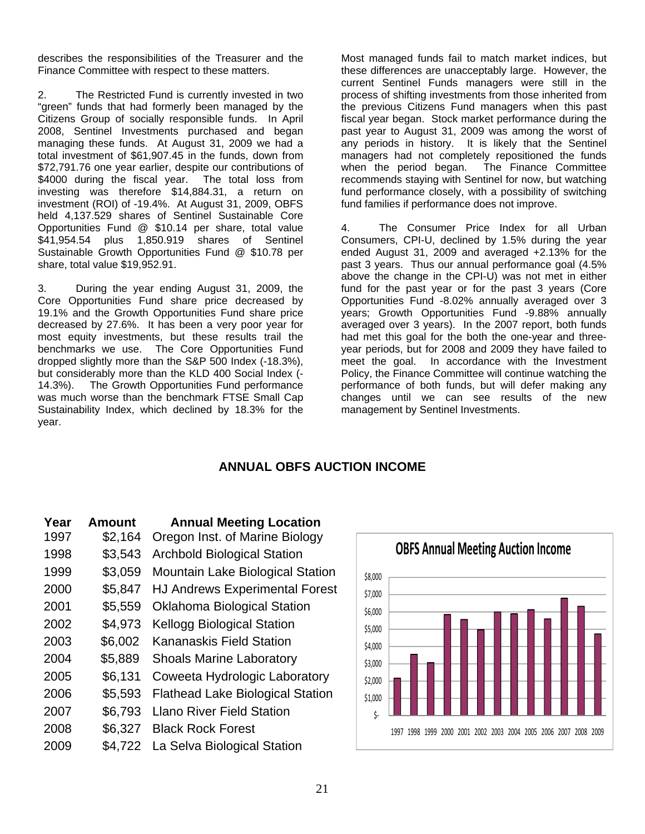describes the responsibilities of the Treasurer and the Finance Committee with respect to these matters.

2. The Restricted Fund is currently invested in two "green" funds that had formerly been managed by the Citizens Group of socially responsible funds. In April 2008, Sentinel Investments purchased and began managing these funds. At August 31, 2009 we had a total investment of \$61,907.45 in the funds, down from \$72,791.76 one year earlier, despite our contributions of \$4000 during the fiscal year. The total loss from investing was therefore \$14,884.31, a return on investment (ROI) of -19.4%. At August 31, 2009, OBFS held 4,137.529 shares of Sentinel Sustainable Core Opportunities Fund @ \$10.14 per share, total value \$41,954.54 plus 1,850.919 shares of Sentinel Sustainable Growth Opportunities Fund @ \$10.78 per share, total value \$19,952.91.

3. During the year ending August 31, 2009, the Core Opportunities Fund share price decreased by 19.1% and the Growth Opportunities Fund share price decreased by 27.6%. It has been a very poor year for most equity investments, but these results trail the benchmarks we use. The Core Opportunities Fund dropped slightly more than the S&P 500 Index (-18.3%), but considerably more than the KLD 400 Social Index (- 14.3%). The Growth Opportunities Fund performance was much worse than the benchmark FTSE Small Cap Sustainability Index, which declined by 18.3% for the year.

Most managed funds fail to match market indices, but these differences are unacceptably large. However, the current Sentinel Funds managers were still in the process of shifting investments from those inherited from the previous Citizens Fund managers when this past fiscal year began. Stock market performance during the past year to August 31, 2009 was among the worst of any periods in history. It is likely that the Sentinel managers had not completely repositioned the funds when the period began. The Finance Committee recommends staying with Sentinel for now, but watching fund performance closely, with a possibility of switching fund families if performance does not improve.

4. The Consumer Price Index for all Urban Consumers, CPI-U, declined by 1.5% during the year ended August 31, 2009 and averaged +2.13% for the past 3 years. Thus our annual performance goal (4.5% above the change in the CPI-U) was not met in either fund for the past year or for the past 3 years (Core Opportunities Fund -8.02% annually averaged over 3 years; Growth Opportunities Fund -9.88% annually averaged over 3 years). In the 2007 report, both funds had met this goal for the both the one-year and threeyear periods, but for 2008 and 2009 they have failed to meet the goal. In accordance with the Investment Policy, the Finance Committee will continue watching the performance of both funds, but will defer making any changes until we can see results of the new management by Sentinel Investments.

# **ANNUAL OBFS AUCTION INCOME**

| Year | <b>Amount</b> | <b>Annual Meeting Location</b>          |
|------|---------------|-----------------------------------------|
| 1997 | \$2,164       | Oregon Inst. of Marine Biology          |
| 1998 | \$3,543       | <b>Archbold Biological Station</b>      |
| 1999 | \$3,059       | <b>Mountain Lake Biological Station</b> |
| 2000 | \$5,847       | <b>HJ Andrews Experimental Forest</b>   |
| 2001 | \$5,559       | <b>Oklahoma Biological Station</b>      |
| 2002 | \$4,973       | <b>Kellogg Biological Station</b>       |
| 2003 | \$6,002       | Kananaskis Field Station                |
| 2004 | \$5,889       | <b>Shoals Marine Laboratory</b>         |
| 2005 | \$6,131       | Coweeta Hydrologic Laboratory           |
| 2006 | \$5,593       | <b>Flathead Lake Biological Station</b> |
| 2007 | \$6,793       | <b>Llano River Field Station</b>        |
| 2008 | \$6,327       | <b>Black Rock Forest</b>                |
| 2009 | \$4.722       | La Selva Biological Station             |

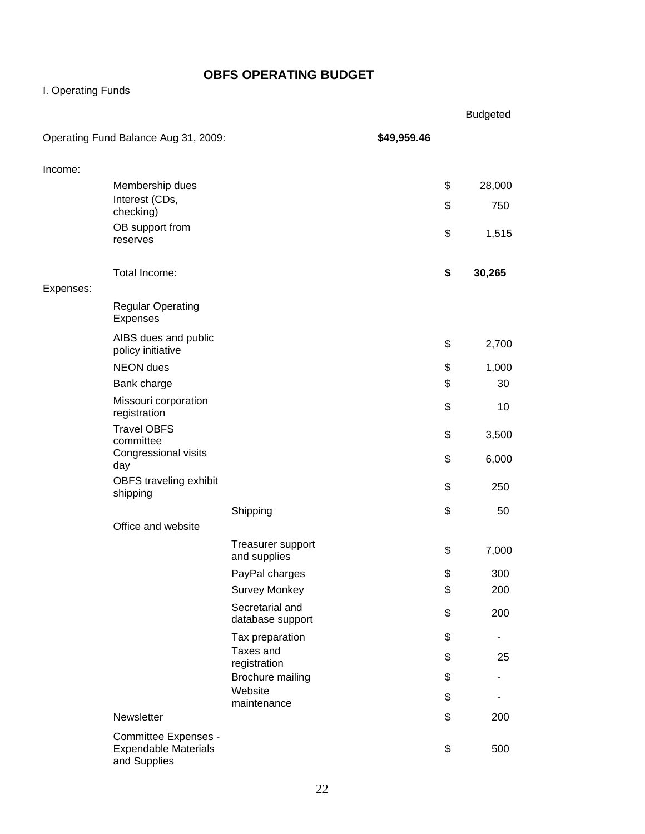# **OBFS OPERATING BUDGET**

# I. Operating Funds

|           |                                                                     |                                     |             | <b>Budgeted</b> |
|-----------|---------------------------------------------------------------------|-------------------------------------|-------------|-----------------|
|           | Operating Fund Balance Aug 31, 2009:                                |                                     | \$49,959.46 |                 |
| Income:   |                                                                     |                                     |             |                 |
|           | Membership dues                                                     |                                     |             | \$<br>28,000    |
|           | Interest (CDs,<br>checking)                                         |                                     |             | \$<br>750       |
|           | OB support from<br>reserves                                         |                                     |             | \$<br>1,515     |
|           | Total Income:                                                       |                                     |             | \$<br>30,265    |
| Expenses: |                                                                     |                                     |             |                 |
|           | <b>Regular Operating</b><br>Expenses                                |                                     |             |                 |
|           | AIBS dues and public<br>policy initiative                           |                                     |             | \$<br>2,700     |
|           | <b>NEON</b> dues                                                    |                                     |             | \$<br>1,000     |
|           | Bank charge                                                         |                                     |             | \$<br>30        |
|           | Missouri corporation<br>registration                                |                                     |             | \$<br>10        |
|           | <b>Travel OBFS</b><br>committee                                     |                                     |             | \$<br>3,500     |
|           | Congressional visits<br>day                                         |                                     |             | \$<br>6,000     |
|           | OBFS traveling exhibit<br>shipping                                  |                                     |             | \$<br>250       |
|           |                                                                     | Shipping                            |             | \$<br>50        |
|           | Office and website                                                  |                                     |             |                 |
|           |                                                                     | Treasurer support<br>and supplies   |             | \$<br>7,000     |
|           |                                                                     | PayPal charges                      |             | \$<br>300       |
|           |                                                                     | <b>Survey Monkey</b>                |             | \$<br>200       |
|           |                                                                     | Secretarial and<br>database support |             | \$<br>200       |
|           |                                                                     | Tax preparation                     |             | \$              |
|           |                                                                     | Taxes and<br>registration           |             | \$<br>25        |
|           |                                                                     | Brochure mailing                    |             | \$              |
|           |                                                                     | Website                             |             | \$              |
|           | Newsletter                                                          | maintenance                         |             | \$<br>200       |
|           |                                                                     |                                     |             |                 |
|           | Committee Expenses -<br><b>Expendable Materials</b><br>and Supplies |                                     |             | \$<br>500       |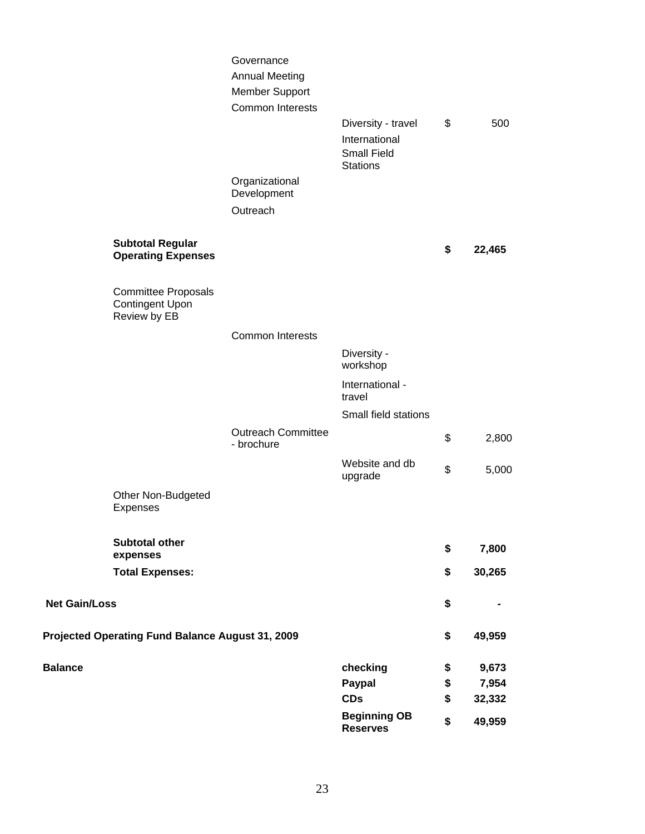|                      |                                                                      | Governance<br><b>Annual Meeting</b><br>Member Support<br>Common Interests |                                                                              |              |
|----------------------|----------------------------------------------------------------------|---------------------------------------------------------------------------|------------------------------------------------------------------------------|--------------|
|                      |                                                                      |                                                                           | Diversity - travel<br>International<br><b>Small Field</b><br><b>Stations</b> | \$<br>500    |
|                      |                                                                      | Organizational<br>Development<br>Outreach                                 |                                                                              |              |
|                      | <b>Subtotal Regular</b><br><b>Operating Expenses</b>                 |                                                                           |                                                                              | \$<br>22,465 |
|                      | <b>Committee Proposals</b><br><b>Contingent Upon</b><br>Review by EB |                                                                           |                                                                              |              |
|                      |                                                                      | <b>Common Interests</b>                                                   |                                                                              |              |
|                      |                                                                      |                                                                           | Diversity -<br>workshop                                                      |              |
|                      |                                                                      |                                                                           | International -<br>travel                                                    |              |
|                      |                                                                      |                                                                           | Small field stations                                                         |              |
|                      |                                                                      | <b>Outreach Committee</b><br>- brochure                                   |                                                                              | \$<br>2,800  |
|                      |                                                                      |                                                                           | Website and db<br>upgrade                                                    | \$<br>5,000  |
|                      | Other Non-Budgeted<br><b>Expenses</b>                                |                                                                           |                                                                              |              |
|                      | <b>Subtotal other</b><br>expenses                                    |                                                                           |                                                                              | \$<br>7,800  |
|                      | <b>Total Expenses:</b>                                               |                                                                           |                                                                              | \$<br>30,265 |
| <b>Net Gain/Loss</b> |                                                                      |                                                                           |                                                                              | \$           |
|                      | Projected Operating Fund Balance August 31, 2009                     |                                                                           |                                                                              | \$<br>49,959 |
| <b>Balance</b>       |                                                                      |                                                                           | checking                                                                     | \$<br>9,673  |
|                      |                                                                      |                                                                           | Paypal                                                                       | \$<br>7,954  |
|                      |                                                                      |                                                                           | <b>CDs</b>                                                                   | \$<br>32,332 |
|                      |                                                                      |                                                                           | <b>Beginning OB</b><br><b>Reserves</b>                                       | \$<br>49,959 |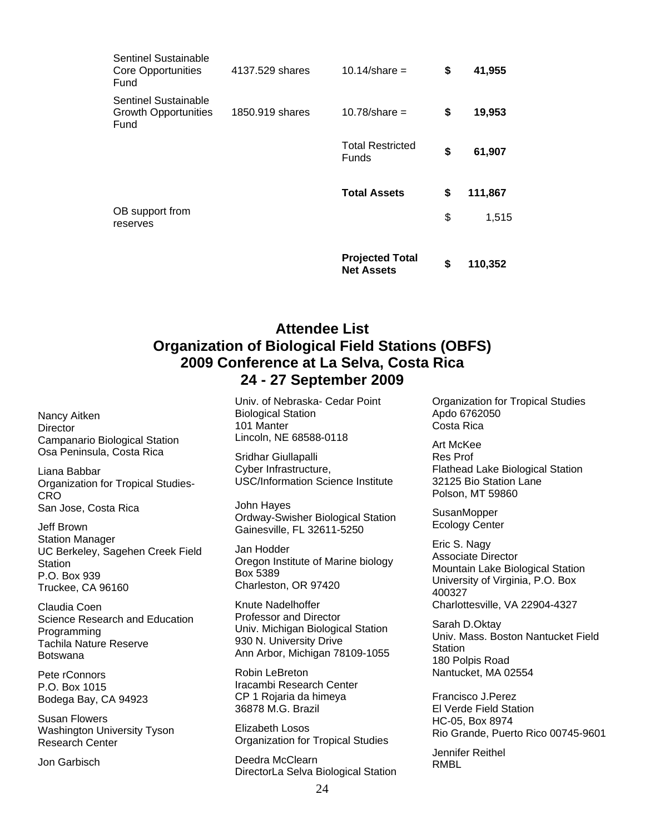|                                                                  |                 | <b>Projected Total</b><br><b>Net Assets</b> | \$<br>110,352 |
|------------------------------------------------------------------|-----------------|---------------------------------------------|---------------|
| OB support from<br>reserves                                      |                 |                                             | \$<br>1,515   |
|                                                                  |                 | <b>Total Assets</b>                         | \$<br>111,867 |
|                                                                  |                 | <b>Total Restricted</b><br>Funds            | \$<br>61,907  |
| Sentinel Sustainable<br><b>Growth Opportunities</b><br>Fund      | 1850.919 shares | $10.78$ /share =                            | \$<br>19,953  |
| <b>Sentinel Sustainable</b><br><b>Core Opportunities</b><br>Fund | 4137.529 shares | $10.14$ /share =                            | \$<br>41,955  |

# **Attendee List Organization of Biological Field Stations (OBFS) 2009 Conference at La Selva, Costa Rica 24 - 27 September 2009**

Nancy Aitken **Director** Campanario Biological Station Osa Peninsula, Costa Rica

Liana Babbar Organization for Tropical Studies-CRO San Jose, Costa Rica

Jeff Brown Station Manager UC Berkeley, Sagehen Creek Field **Station** P.O. Box 939 Truckee, CA 96160

Claudia Coen Science Research and Education Programming Tachila Nature Reserve Botswana

Pete rConnors P.O. Box 1015 Bodega Bay, CA 94923

Susan Flowers Washington University Tyson Research Center

Jon Garbisch

Univ. of Nebraska- Cedar Point Biological Station 101 Manter Lincoln, NE 68588-0118

Sridhar Giullapalli Cyber Infrastructure, USC/Information Science Institute

John Hayes Ordway-Swisher Biological Station Gainesville, FL 32611-5250

Jan Hodder Oregon Institute of Marine biology Box 5389 Charleston, OR 97420

Knute Nadelhoffer Professor and Director Univ. Michigan Biological Station 930 N. University Drive Ann Arbor, Michigan 78109-1055

Robin LeBreton Iracambi Research Center CP 1 Rojaria da himeya 36878 M.G. Brazil

Elizabeth Losos Organization for Tropical Studies

Deedra McClearn DirectorLa Selva Biological Station Organization for Tropical Studies Apdo 6762050 Costa Rica

Art McKee Res Prof Flathead Lake Biological Station 32125 Bio Station Lane Polson, MT 59860

**SusanMopper** Ecology Center

Eric S. Nagy Associate Director Mountain Lake Biological Station University of Virginia, P.O. Box 400327 Charlottesville, VA 22904-4327

Sarah D.Oktay Univ. Mass. Boston Nantucket Field **Station** 180 Polpis Road Nantucket, MA 02554

Francisco J.Perez El Verde Field Station HC-05, Box 8974 Rio Grande, Puerto Rico 00745-9601

Jennifer Reithel RMBL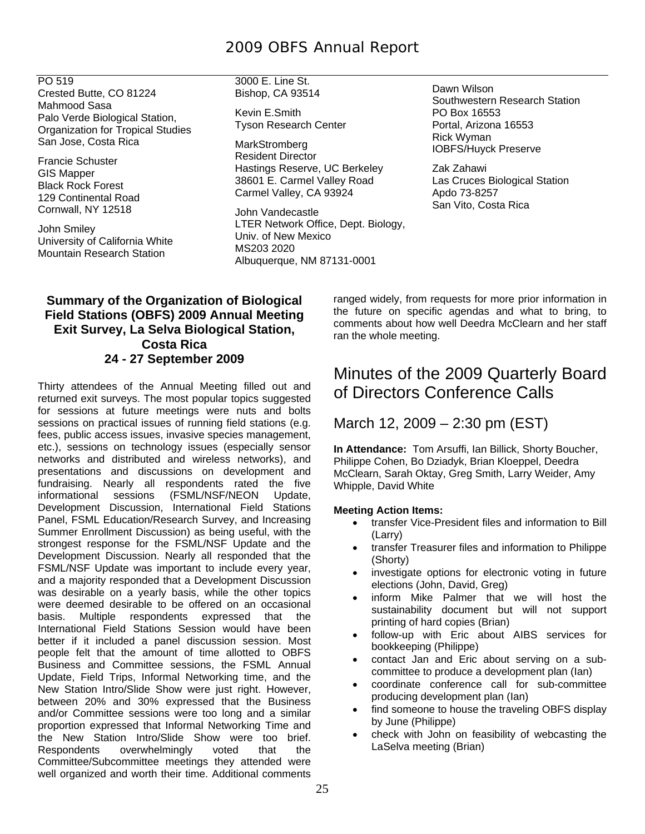PO 519

Crested Butte, CO 81224 Mahmood Sasa Palo Verde Biological Station, Organization for Tropical Studies San Jose, Costa Rica

Francie Schuster GIS Mapper Black Rock Forest 129 Continental Road Cornwall, NY 12518

John Smiley University of California White Mountain Research Station

3000 E. Line St. Bishop, CA 93514

Kevin E.Smith Tyson Research Center

MarkStromberg Resident Director Hastings Reserve, UC Berkeley 38601 E. Carmel Valley Road Carmel Valley, CA 93924

John Vandecastle LTER Network Office, Dept. Biology, Univ. of New Mexico MS203 2020 Albuquerque, NM 87131-0001

Dawn Wilson Southwestern Research Station PO Box 16553 Portal, Arizona 16553 Rick Wyman IOBFS/Huyck Preserve

Zak Zahawi Las Cruces Biological Station Apdo 73-8257 San Vito, Costa Rica

# **Summary of the Organization of Biological Field Stations (OBFS) 2009 Annual Meeting Exit Survey, La Selva Biological Station, Costa Rica 24 - 27 September 2009**

Thirty attendees of the Annual Meeting filled out and returned exit surveys. The most popular topics suggested for sessions at future meetings were nuts and bolts sessions on practical issues of running field stations (e.g. fees, public access issues, invasive species management, etc.), sessions on technology issues (especially sensor networks and distributed and wireless networks), and presentations and discussions on development and fundraising. Nearly all respondents rated the five informational sessions (FSML/NSF/NEON Update, Development Discussion, International Field Stations Panel, FSML Education/Research Survey, and Increasing Summer Enrollment Discussion) as being useful, with the strongest response for the FSML/NSF Update and the Development Discussion. Nearly all responded that the FSML/NSF Update was important to include every year, and a majority responded that a Development Discussion was desirable on a yearly basis, while the other topics were deemed desirable to be offered on an occasional basis. Multiple respondents expressed that the International Field Stations Session would have been better if it included a panel discussion session. Most people felt that the amount of time allotted to OBFS Business and Committee sessions, the FSML Annual Update, Field Trips, Informal Networking time, and the New Station Intro/Slide Show were just right. However, between 20% and 30% expressed that the Business and/or Committee sessions were too long and a similar proportion expressed that Informal Networking Time and the New Station Intro/Slide Show were too brief. Respondents overwhelmingly voted that the Committee/Subcommittee meetings they attended were well organized and worth their time. Additional comments

ranged widely, from requests for more prior information in the future on specific agendas and what to bring, to comments about how well Deedra McClearn and her staff ran the whole meeting.

# Minutes of the 2009 Quarterly Board of Directors Conference Calls

March 12, 2009 – 2:30 pm (EST)

**In Attendance:** Tom Arsuffi, Ian Billick, Shorty Boucher, Philippe Cohen, Bo Dziadyk, Brian Kloeppel, Deedra McClearn, Sarah Oktay, Greg Smith, Larry Weider, Amy Whipple, David White

# **Meeting Action Items:**

- transfer Vice-President files and information to Bill (Larry)
- transfer Treasurer files and information to Philippe (Shorty)
- investigate options for electronic voting in future elections (John, David, Greg)
- inform Mike Palmer that we will host the sustainability document but will not support printing of hard copies (Brian)
- follow-up with Eric about AIBS services for bookkeeping (Philippe)
- contact Jan and Eric about serving on a subcommittee to produce a development plan (Ian)
- coordinate conference call for sub-committee producing development plan (Ian)
- find someone to house the traveling OBFS display by June (Philippe)
- check with John on feasibility of webcasting the LaSelva meeting (Brian)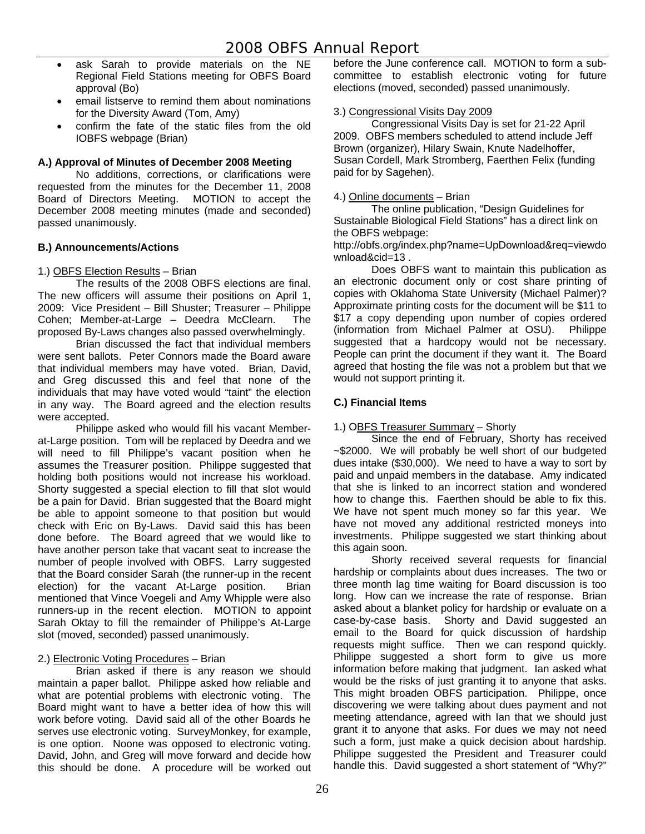- ask Sarah to provide materials on the NE Regional Field Stations meeting for OBFS Board approval (Bo)
- email listserve to remind them about nominations for the Diversity Award (Tom, Amy)
- confirm the fate of the static files from the old IOBFS webpage (Brian)

# **A.) Approval of Minutes of December 2008 Meeting**

 No additions, corrections, or clarifications were requested from the minutes for the December 11, 2008 Board of Directors Meeting. MOTION to accept the December 2008 meeting minutes (made and seconded) passed unanimously.

# **B.) Announcements/Actions**

# 1.) OBFS Election Results - Brian

 The results of the 2008 OBFS elections are final. The new officers will assume their positions on April 1, 2009: Vice President – Bill Shuster; Treasurer – Philippe Cohen; Member-at-Large – Deedra McClearn. The proposed By-Laws changes also passed overwhelmingly.

 Brian discussed the fact that individual members were sent ballots. Peter Connors made the Board aware that individual members may have voted. Brian, David, and Greg discussed this and feel that none of the individuals that may have voted would "taint" the election in any way. The Board agreed and the election results were accepted.

 Philippe asked who would fill his vacant Memberat-Large position. Tom will be replaced by Deedra and we will need to fill Philippe's vacant position when he assumes the Treasurer position. Philippe suggested that holding both positions would not increase his workload. Shorty suggested a special election to fill that slot would be a pain for David. Brian suggested that the Board might be able to appoint someone to that position but would check with Eric on By-Laws. David said this has been done before. The Board agreed that we would like to have another person take that vacant seat to increase the number of people involved with OBFS. Larry suggested that the Board consider Sarah (the runner-up in the recent election) for the vacant At-Large position. Brian mentioned that Vince Voegeli and Amy Whipple were also runners-up in the recent election. MOTION to appoint Sarah Oktay to fill the remainder of Philippe's At-Large slot (moved, seconded) passed unanimously.

# 2.) Electronic Voting Procedures – Brian

 Brian asked if there is any reason we should maintain a paper ballot. Philippe asked how reliable and what are potential problems with electronic voting. The Board might want to have a better idea of how this will work before voting. David said all of the other Boards he serves use electronic voting. SurveyMonkey, for example, is one option. Noone was opposed to electronic voting. David, John, and Greg will move forward and decide how this should be done. A procedure will be worked out before the June conference call. MOTION to form a subcommittee to establish electronic voting for future elections (moved, seconded) passed unanimously.

# 3.) Congressional Visits Day 2009

 Congressional Visits Day is set for 21-22 April 2009. OBFS members scheduled to attend include Jeff Brown (organizer), Hilary Swain, Knute Nadelhoffer, Susan Cordell, Mark Stromberg, Faerthen Felix (funding paid for by Sagehen).

# 4.) Online documents – Brian

 The online publication, "Design Guidelines for Sustainable Biological Field Stations" has a direct link on the OBFS webpage:

http://obfs.org/index.php?name=UpDownload&req=viewdo wnload&cid=13 .

Does OBFS want to maintain this publication as an electronic document only or cost share printing of copies with Oklahoma State University (Michael Palmer)? Approximate printing costs for the document will be \$11 to \$17 a copy depending upon number of copies ordered (information from Michael Palmer at OSU). Philippe suggested that a hardcopy would not be necessary. People can print the document if they want it. The Board agreed that hosting the file was not a problem but that we would not support printing it.

# **C.) Financial Items**

# 1.) OBFS Treasurer Summary – Shorty

 Since the end of February, Shorty has received ~\$2000. We will probably be well short of our budgeted dues intake (\$30,000). We need to have a way to sort by paid and unpaid members in the database. Amy indicated that she is linked to an incorrect station and wondered how to change this. Faerthen should be able to fix this. We have not spent much money so far this year. We have not moved any additional restricted moneys into investments. Philippe suggested we start thinking about this again soon.

 Shorty received several requests for financial hardship or complaints about dues increases. The two or three month lag time waiting for Board discussion is too long. How can we increase the rate of response. Brian asked about a blanket policy for hardship or evaluate on a case-by-case basis. Shorty and David suggested an email to the Board for quick discussion of hardship requests might suffice. Then we can respond quickly. Philippe suggested a short form to give us more information before making that judgment. Ian asked what would be the risks of just granting it to anyone that asks. This might broaden OBFS participation. Philippe, once discovering we were talking about dues payment and not meeting attendance, agreed with Ian that we should just grant it to anyone that asks. For dues we may not need such a form, just make a quick decision about hardship. Philippe suggested the President and Treasurer could handle this. David suggested a short statement of "Why?"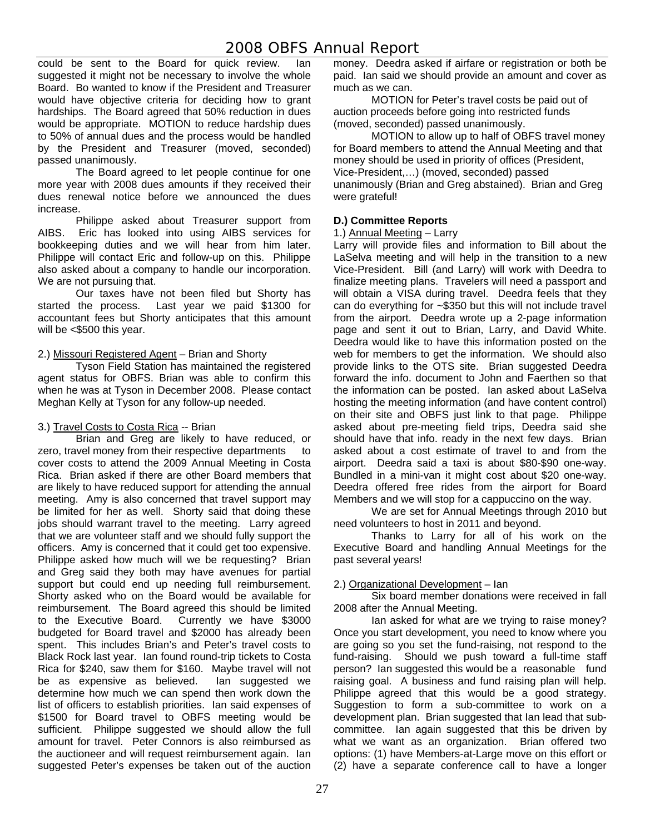# 2008 OBFS Annual Report

could be sent to the Board for quick review. Ian suggested it might not be necessary to involve the whole Board. Bo wanted to know if the President and Treasurer would have objective criteria for deciding how to grant hardships. The Board agreed that 50% reduction in dues would be appropriate. MOTION to reduce hardship dues to 50% of annual dues and the process would be handled by the President and Treasurer (moved, seconded) passed unanimously.

 The Board agreed to let people continue for one more year with 2008 dues amounts if they received their dues renewal notice before we announced the dues increase.

 Philippe asked about Treasurer support from AIBS. Eric has looked into using AIBS services for bookkeeping duties and we will hear from him later. Philippe will contact Eric and follow-up on this. Philippe also asked about a company to handle our incorporation. We are not pursuing that.

 Our taxes have not been filed but Shorty has started the process. Last year we paid \$1300 for accountant fees but Shorty anticipates that this amount will be <\$500 this year.

## 2.) Missouri Registered Agent – Brian and Shorty

 Tyson Field Station has maintained the registered agent status for OBFS. Brian was able to confirm this when he was at Tyson in December 2008. Please contact Meghan Kelly at Tyson for any follow-up needed.

#### 3.) Travel Costs to Costa Rica -- Brian

 Brian and Greg are likely to have reduced, or zero, travel money from their respective departments to cover costs to attend the 2009 Annual Meeting in Costa Rica. Brian asked if there are other Board members that are likely to have reduced support for attending the annual meeting. Amy is also concerned that travel support may be limited for her as well. Shorty said that doing these jobs should warrant travel to the meeting. Larry agreed that we are volunteer staff and we should fully support the officers. Amy is concerned that it could get too expensive. Philippe asked how much will we be requesting? Brian and Greg said they both may have avenues for partial support but could end up needing full reimbursement. Shorty asked who on the Board would be available for reimbursement. The Board agreed this should be limited to the Executive Board. Currently we have \$3000 budgeted for Board travel and \$2000 has already been spent. This includes Brian's and Peter's travel costs to Black Rock last year. Ian found round-trip tickets to Costa Rica for \$240, saw them for \$160. Maybe travel will not be as expensive as believed. Ian suggested we determine how much we can spend then work down the list of officers to establish priorities. Ian said expenses of \$1500 for Board travel to OBFS meeting would be sufficient. Philippe suggested we should allow the full amount for travel. Peter Connors is also reimbursed as the auctioneer and will request reimbursement again. Ian suggested Peter's expenses be taken out of the auction

money. Deedra asked if airfare or registration or both be paid. Ian said we should provide an amount and cover as much as we can.

 MOTION for Peter's travel costs be paid out of auction proceeds before going into restricted funds (moved, seconded) passed unanimously.

 MOTION to allow up to half of OBFS travel money for Board members to attend the Annual Meeting and that money should be used in priority of offices (President, Vice-President,…) (moved, seconded) passed unanimously (Brian and Greg abstained). Brian and Greg were grateful!

## **D.) Committee Reports**

#### 1.) Annual Meeting – Larry

Larry will provide files and information to Bill about the LaSelva meeting and will help in the transition to a new Vice-President. Bill (and Larry) will work with Deedra to finalize meeting plans. Travelers will need a passport and will obtain a VISA during travel. Deedra feels that they can do everything for ~\$350 but this will not include travel from the airport. Deedra wrote up a 2-page information page and sent it out to Brian, Larry, and David White. Deedra would like to have this information posted on the web for members to get the information. We should also provide links to the OTS site. Brian suggested Deedra forward the info. document to John and Faerthen so that the information can be posted. Ian asked about LaSelva hosting the meeting information (and have content control) on their site and OBFS just link to that page. Philippe asked about pre-meeting field trips, Deedra said she should have that info. ready in the next few days. Brian asked about a cost estimate of travel to and from the airport. Deedra said a taxi is about \$80-\$90 one-way. Bundled in a mini-van it might cost about \$20 one-way. Deedra offered free rides from the airport for Board Members and we will stop for a cappuccino on the way.

 We are set for Annual Meetings through 2010 but need volunteers to host in 2011 and beyond.

 Thanks to Larry for all of his work on the Executive Board and handling Annual Meetings for the past several years!

#### 2.) Organizational Development – Ian

 Six board member donations were received in fall 2008 after the Annual Meeting.

 Ian asked for what are we trying to raise money? Once you start development, you need to know where you are going so you set the fund-raising, not respond to the fund-raising. Should we push toward a full-time staff person? Ian suggested this would be a reasonable fund raising goal. A business and fund raising plan will help. Philippe agreed that this would be a good strategy. Suggestion to form a sub-committee to work on a development plan. Brian suggested that Ian lead that subcommittee. Ian again suggested that this be driven by what we want as an organization. Brian offered two options: (1) have Members-at-Large move on this effort or (2) have a separate conference call to have a longer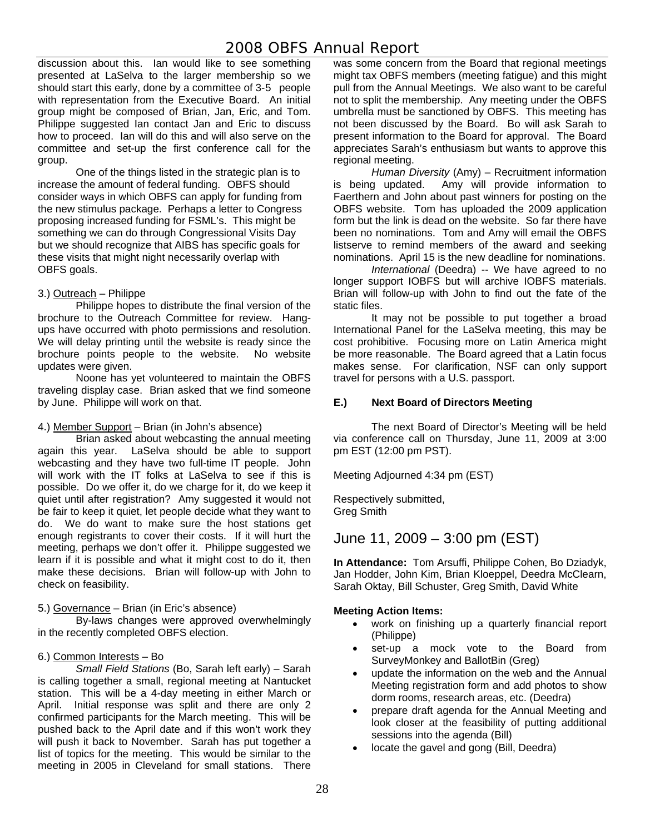# 2008 OBFS Annual Report

discussion about this. Ian would like to see something presented at LaSelva to the larger membership so we should start this early, done by a committee of 3-5 people with representation from the Executive Board. An initial group might be composed of Brian, Jan, Eric, and Tom. Philippe suggested Ian contact Jan and Eric to discuss how to proceed. Ian will do this and will also serve on the committee and set-up the first conference call for the group.

 One of the things listed in the strategic plan is to increase the amount of federal funding. OBFS should consider ways in which OBFS can apply for funding from the new stimulus package. Perhaps a letter to Congress proposing increased funding for FSML's. This might be something we can do through Congressional Visits Day but we should recognize that AIBS has specific goals for these visits that might night necessarily overlap with OBFS goals.

# 3.) Outreach – Philippe

 Philippe hopes to distribute the final version of the brochure to the Outreach Committee for review. Hangups have occurred with photo permissions and resolution. We will delay printing until the website is ready since the brochure points people to the website. No website updates were given.

 Noone has yet volunteered to maintain the OBFS traveling display case. Brian asked that we find someone by June. Philippe will work on that.

#### 4.) Member Support – Brian (in John's absence)

 Brian asked about webcasting the annual meeting again this year. LaSelva should be able to support webcasting and they have two full-time IT people. John will work with the IT folks at LaSelva to see if this is possible. Do we offer it, do we charge for it, do we keep it quiet until after registration? Amy suggested it would not be fair to keep it quiet, let people decide what they want to do. We do want to make sure the host stations get enough registrants to cover their costs. If it will hurt the meeting, perhaps we don't offer it. Philippe suggested we learn if it is possible and what it might cost to do it, then make these decisions. Brian will follow-up with John to check on feasibility.

# 5.) Governance – Brian (in Eric's absence)

 By-laws changes were approved overwhelmingly in the recently completed OBFS election.

#### 6.) Common Interests – Bo

*Small Field Stations* (Bo, Sarah left early) – Sarah is calling together a small, regional meeting at Nantucket station. This will be a 4-day meeting in either March or April. Initial response was split and there are only 2 confirmed participants for the March meeting. This will be pushed back to the April date and if this won't work they will push it back to November. Sarah has put together a list of topics for the meeting. This would be similar to the meeting in 2005 in Cleveland for small stations. There

was some concern from the Board that regional meetings might tax OBFS members (meeting fatigue) and this might pull from the Annual Meetings. We also want to be careful not to split the membership. Any meeting under the OBFS umbrella must be sanctioned by OBFS. This meeting has not been discussed by the Board. Bo will ask Sarah to present information to the Board for approval. The Board appreciates Sarah's enthusiasm but wants to approve this regional meeting.

*Human Diversity* (Amy) – Recruitment information is being updated. Amy will provide information to Faerthern and John about past winners for posting on the OBFS website. Tom has uploaded the 2009 application form but the link is dead on the website. So far there have been no nominations. Tom and Amy will email the OBFS listserve to remind members of the award and seeking nominations. April 15 is the new deadline for nominations.

*International* (Deedra) -- We have agreed to no longer support IOBFS but will archive IOBFS materials. Brian will follow-up with John to find out the fate of the static files.

 It may not be possible to put together a broad International Panel for the LaSelva meeting, this may be cost prohibitive. Focusing more on Latin America might be more reasonable. The Board agreed that a Latin focus makes sense. For clarification, NSF can only support travel for persons with a U.S. passport.

# **E.) Next Board of Directors Meeting**

 The next Board of Director's Meeting will be held via conference call on Thursday, June 11, 2009 at 3:00 pm EST (12:00 pm PST).

Meeting Adjourned 4:34 pm (EST)

Respectively submitted, Greg Smith

# June 11, 2009 – 3:00 pm (EST)

**In Attendance:** Tom Arsuffi, Philippe Cohen, Bo Dziadyk, Jan Hodder, John Kim, Brian Kloeppel, Deedra McClearn, Sarah Oktay, Bill Schuster, Greg Smith, David White

# **Meeting Action Items:**

- work on finishing up a quarterly financial report (Philippe)
- set-up a mock vote to the Board from SurveyMonkey and BallotBin (Greg)
- update the information on the web and the Annual Meeting registration form and add photos to show dorm rooms, research areas, etc. (Deedra)
- prepare draft agenda for the Annual Meeting and look closer at the feasibility of putting additional sessions into the agenda (Bill)
- locate the gavel and gong (Bill, Deedra)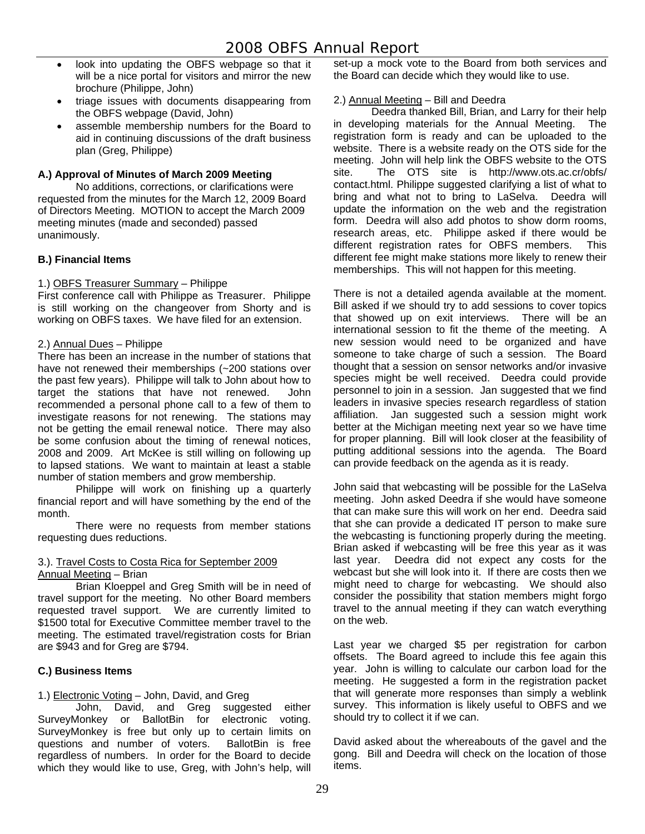- look into updating the OBFS webpage so that it will be a nice portal for visitors and mirror the new brochure (Philippe, John)
- triage issues with documents disappearing from the OBFS webpage (David, John)
- assemble membership numbers for the Board to aid in continuing discussions of the draft business plan (Greg, Philippe)

## **A.) Approval of Minutes of March 2009 Meeting**

 No additions, corrections, or clarifications were requested from the minutes for the March 12, 2009 Board of Directors Meeting. MOTION to accept the March 2009 meeting minutes (made and seconded) passed unanimously.

# **B.) Financial Items**

## 1.) OBFS Treasurer Summary – Philippe

First conference call with Philippe as Treasurer. Philippe is still working on the changeover from Shorty and is working on OBFS taxes. We have filed for an extension.

## 2.) Annual Dues – Philippe

There has been an increase in the number of stations that have not renewed their memberships (~200 stations over the past few years). Philippe will talk to John about how to target the stations that have not renewed. John recommended a personal phone call to a few of them to investigate reasons for not renewing. The stations may not be getting the email renewal notice. There may also be some confusion about the timing of renewal notices, 2008 and 2009. Art McKee is still willing on following up to lapsed stations. We want to maintain at least a stable number of station members and grow membership.

 Philippe will work on finishing up a quarterly financial report and will have something by the end of the month.

 There were no requests from member stations requesting dues reductions.

#### 3.). Travel Costs to Costa Rica for September 2009 Annual Meeting – Brian

 Brian Kloeppel and Greg Smith will be in need of travel support for the meeting. No other Board members requested travel support. We are currently limited to \$1500 total for Executive Committee member travel to the meeting. The estimated travel/registration costs for Brian are \$943 and for Greg are \$794.

# **C.) Business Items**

# 1.) Electronic Voting – John, David, and Greg

 John, David, and Greg suggested either SurveyMonkey or BallotBin for electronic voting. SurveyMonkey is free but only up to certain limits on questions and number of voters. BallotBin is free regardless of numbers. In order for the Board to decide which they would like to use, Greg, with John's help, will

set-up a mock vote to the Board from both services and the Board can decide which they would like to use.

## 2.) Annual Meeting – Bill and Deedra

 Deedra thanked Bill, Brian, and Larry for their help in developing materials for the Annual Meeting. The registration form is ready and can be uploaded to the website. There is a website ready on the OTS side for the meeting. John will help link the OBFS website to the OTS site. The OTS site is http://www.ots.ac.cr/obfs/ contact.html. Philippe suggested clarifying a list of what to bring and what not to bring to LaSelva. Deedra will update the information on the web and the registration form. Deedra will also add photos to show dorm rooms, research areas, etc. Philippe asked if there would be different registration rates for OBFS members. This different fee might make stations more likely to renew their memberships. This will not happen for this meeting.

There is not a detailed agenda available at the moment. Bill asked if we should try to add sessions to cover topics that showed up on exit interviews. There will be an international session to fit the theme of the meeting. A new session would need to be organized and have someone to take charge of such a session. The Board thought that a session on sensor networks and/or invasive species might be well received. Deedra could provide personnel to join in a session. Jan suggested that we find leaders in invasive species research regardless of station affiliation. Jan suggested such a session might work better at the Michigan meeting next year so we have time for proper planning. Bill will look closer at the feasibility of putting additional sessions into the agenda. The Board can provide feedback on the agenda as it is ready.

John said that webcasting will be possible for the LaSelva meeting. John asked Deedra if she would have someone that can make sure this will work on her end. Deedra said that she can provide a dedicated IT person to make sure the webcasting is functioning properly during the meeting. Brian asked if webcasting will be free this year as it was last year. Deedra did not expect any costs for the webcast but she will look into it. If there are costs then we might need to charge for webcasting. We should also consider the possibility that station members might forgo travel to the annual meeting if they can watch everything on the web.

Last year we charged \$5 per registration for carbon offsets. The Board agreed to include this fee again this year. John is willing to calculate our carbon load for the meeting. He suggested a form in the registration packet that will generate more responses than simply a weblink survey. This information is likely useful to OBFS and we should try to collect it if we can.

David asked about the whereabouts of the gavel and the gong. Bill and Deedra will check on the location of those items.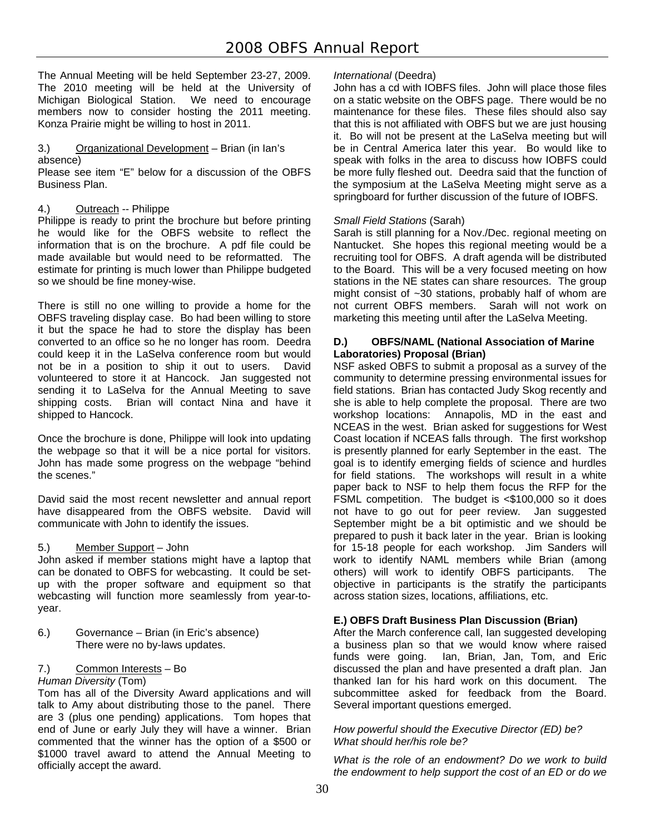The Annual Meeting will be held September 23-27, 2009. The 2010 meeting will be held at the University of Michigan Biological Station. We need to encourage members now to consider hosting the 2011 meeting. Konza Prairie might be willing to host in 2011.

# 3.) Organizational Development – Brian (in Ian's absence)

Please see item "E" below for a discussion of the OBFS Business Plan.

# 4.) Outreach -- Philippe

Philippe is ready to print the brochure but before printing he would like for the OBFS website to reflect the information that is on the brochure. A pdf file could be made available but would need to be reformatted. The estimate for printing is much lower than Philippe budgeted so we should be fine money-wise.

There is still no one willing to provide a home for the OBFS traveling display case. Bo had been willing to store it but the space he had to store the display has been converted to an office so he no longer has room. Deedra could keep it in the LaSelva conference room but would not be in a position to ship it out to users. David volunteered to store it at Hancock. Jan suggested not sending it to LaSelva for the Annual Meeting to save shipping costs. Brian will contact Nina and have it shipped to Hancock.

Once the brochure is done, Philippe will look into updating the webpage so that it will be a nice portal for visitors. John has made some progress on the webpage "behind the scenes."

David said the most recent newsletter and annual report have disappeared from the OBFS website. David will communicate with John to identify the issues.

# 5.) Member Support – John

John asked if member stations might have a laptop that can be donated to OBFS for webcasting. It could be setup with the proper software and equipment so that webcasting will function more seamlessly from year-toyear.

6.) Governance – Brian (in Eric's absence) There were no by-laws updates.

# 7.) Common Interests – Bo

# *Human Diversity* (Tom)

Tom has all of the Diversity Award applications and will talk to Amy about distributing those to the panel. There are 3 (plus one pending) applications. Tom hopes that end of June or early July they will have a winner. Brian commented that the winner has the option of a \$500 or \$1000 travel award to attend the Annual Meeting to officially accept the award.

# *International* (Deedra)

John has a cd with IOBFS files. John will place those files on a static website on the OBFS page. There would be no maintenance for these files. These files should also say that this is not affiliated with OBFS but we are just housing it. Bo will not be present at the LaSelva meeting but will be in Central America later this year. Bo would like to speak with folks in the area to discuss how IOBFS could be more fully fleshed out. Deedra said that the function of the symposium at the LaSelva Meeting might serve as a springboard for further discussion of the future of IOBFS.

## *Small Field Stations* (Sarah)

Sarah is still planning for a Nov./Dec. regional meeting on Nantucket. She hopes this regional meeting would be a recruiting tool for OBFS. A draft agenda will be distributed to the Board. This will be a very focused meeting on how stations in the NE states can share resources. The group might consist of ~30 stations, probably half of whom are not current OBFS members. Sarah will not work on marketing this meeting until after the LaSelva Meeting.

## **D.) OBFS/NAML (National Association of Marine Laboratories) Proposal (Brian)**

NSF asked OBFS to submit a proposal as a survey of the community to determine pressing environmental issues for field stations. Brian has contacted Judy Skog recently and she is able to help complete the proposal. There are two workshop locations: Annapolis, MD in the east and NCEAS in the west. Brian asked for suggestions for West Coast location if NCEAS falls through. The first workshop is presently planned for early September in the east. The goal is to identify emerging fields of science and hurdles for field stations. The workshops will result in a white paper back to NSF to help them focus the RFP for the FSML competition. The budget is <\$100,000 so it does not have to go out for peer review. Jan suggested September might be a bit optimistic and we should be prepared to push it back later in the year. Brian is looking for 15-18 people for each workshop. Jim Sanders will work to identify NAML members while Brian (among others) will work to identify OBFS participants. The objective in participants is the stratify the participants across station sizes, locations, affiliations, etc.

# **E.) OBFS Draft Business Plan Discussion (Brian)**

After the March conference call, Ian suggested developing a business plan so that we would know where raised funds were going. Ian, Brian, Jan, Tom, and Eric discussed the plan and have presented a draft plan. Jan thanked Ian for his hard work on this document. The subcommittee asked for feedback from the Board. Several important questions emerged.

## *How powerful should the Executive Director (ED) be? What should her/his role be?*

*What is the role of an endowment? Do we work to build the endowment to help support the cost of an ED or do we*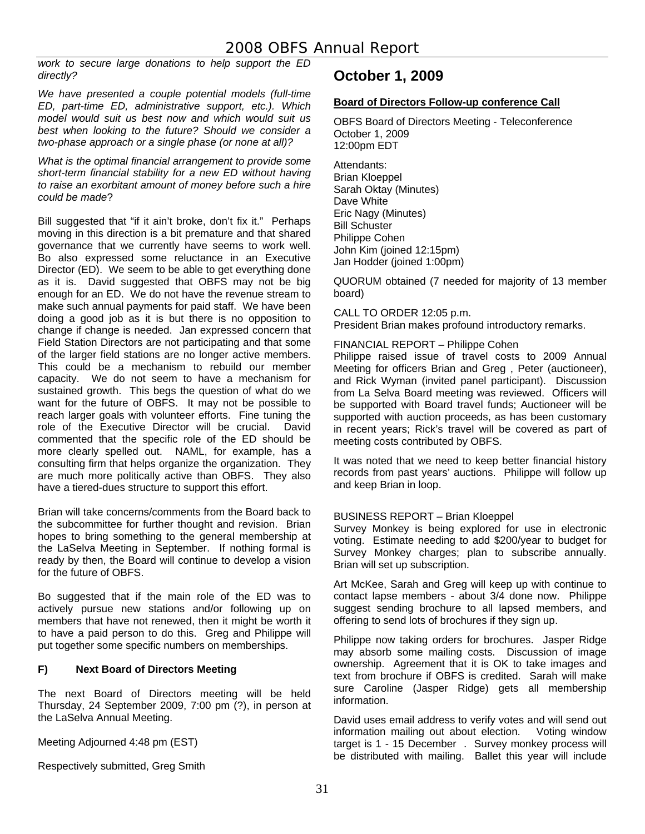# 2008 OBFS Annual Report

*work to secure large donations to help support the ED directly?* 

*We have presented a couple potential models (full-time ED, part-time ED, administrative support, etc.). Which model would suit us best now and which would suit us best when looking to the future? Should we consider a two-phase approach or a single phase (or none at all)?* 

*What is the optimal financial arrangement to provide some short-term financial stability for a new ED without having to raise an exorbitant amount of money before such a hire could be made*?

Bill suggested that "if it ain't broke, don't fix it." Perhaps moving in this direction is a bit premature and that shared governance that we currently have seems to work well. Bo also expressed some reluctance in an Executive Director (ED). We seem to be able to get everything done as it is. David suggested that OBFS may not be big enough for an ED. We do not have the revenue stream to make such annual payments for paid staff. We have been doing a good job as it is but there is no opposition to change if change is needed. Jan expressed concern that Field Station Directors are not participating and that some of the larger field stations are no longer active members. This could be a mechanism to rebuild our member capacity. We do not seem to have a mechanism for sustained growth. This begs the question of what do we want for the future of OBFS. It may not be possible to reach larger goals with volunteer efforts. Fine tuning the role of the Executive Director will be crucial. David commented that the specific role of the ED should be more clearly spelled out. NAML, for example, has a consulting firm that helps organize the organization. They are much more politically active than OBFS. They also have a tiered-dues structure to support this effort.

Brian will take concerns/comments from the Board back to the subcommittee for further thought and revision. Brian hopes to bring something to the general membership at the LaSelva Meeting in September. If nothing formal is ready by then, the Board will continue to develop a vision for the future of OBFS.

Bo suggested that if the main role of the ED was to actively pursue new stations and/or following up on members that have not renewed, then it might be worth it to have a paid person to do this. Greg and Philippe will put together some specific numbers on memberships.

# **F) Next Board of Directors Meeting**

The next Board of Directors meeting will be held Thursday, 24 September 2009, 7:00 pm (?), in person at the LaSelva Annual Meeting.

Meeting Adjourned 4:48 pm (EST)

Respectively submitted, Greg Smith

# **October 1, 2009**

# **Board of Directors Follow-up conference Call**

OBFS Board of Directors Meeting - Teleconference October 1, 2009 12:00pm EDT

Attendants: Brian Kloeppel Sarah Oktay (Minutes) Dave White Eric Nagy (Minutes) Bill Schuster Philippe Cohen John Kim (joined 12:15pm) Jan Hodder (joined 1:00pm)

QUORUM obtained (7 needed for majority of 13 member board)

CALL TO ORDER 12:05 p.m.

President Brian makes profound introductory remarks.

FINANCIAL REPORT – Philippe Cohen

Philippe raised issue of travel costs to 2009 Annual Meeting for officers Brian and Greg , Peter (auctioneer), and Rick Wyman (invited panel participant). Discussion from La Selva Board meeting was reviewed. Officers will be supported with Board travel funds; Auctioneer will be supported with auction proceeds, as has been customary in recent years; Rick's travel will be covered as part of meeting costs contributed by OBFS.

It was noted that we need to keep better financial history records from past years' auctions. Philippe will follow up and keep Brian in loop.

#### BUSINESS REPORT – Brian Kloeppel

Survey Monkey is being explored for use in electronic voting. Estimate needing to add \$200/year to budget for Survey Monkey charges; plan to subscribe annually. Brian will set up subscription.

Art McKee, Sarah and Greg will keep up with continue to contact lapse members - about 3/4 done now. Philippe suggest sending brochure to all lapsed members, and offering to send lots of brochures if they sign up.

Philippe now taking orders for brochures. Jasper Ridge may absorb some mailing costs. Discussion of image ownership. Agreement that it is OK to take images and text from brochure if OBFS is credited. Sarah will make sure Caroline (Jasper Ridge) gets all membership information.

David uses email address to verify votes and will send out information mailing out about election. Voting window target is 1 - 15 December . Survey monkey process will be distributed with mailing. Ballet this year will include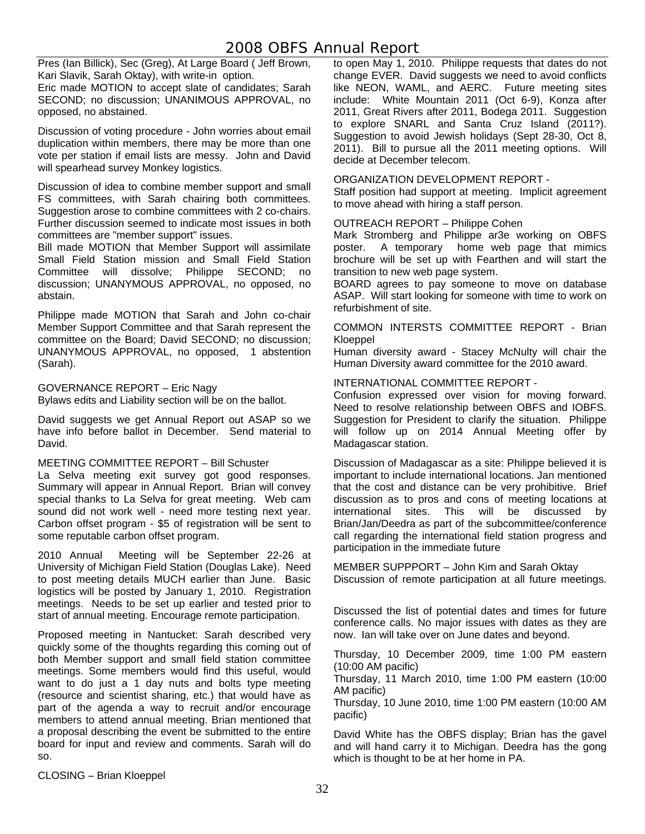# 2008 OBFS Annual Report

Pres (Ian Billick), Sec (Greg), At Large Board ( Jeff Brown, Kari Slavik, Sarah Oktay), with write-in option. Eric made MOTION to accept slate of candidates; Sarah SECOND; no discussion; UNANIMOUS APPROVAL, no opposed, no abstained.

Discussion of voting procedure - John worries about email duplication within members, there may be more than one vote per station if email lists are messy. John and David will spearhead survey Monkey logistics.

Discussion of idea to combine member support and small FS committees, with Sarah chairing both committees. Suggestion arose to combine committees with 2 co-chairs. Further discussion seemed to indicate most issues in both committees are "member support" issues.

Bill made MOTION that Member Support will assimilate Small Field Station mission and Small Field Station Committee will dissolve; Philippe SECOND; no discussion; UNANYMOUS APPROVAL, no opposed, no abstain.

Philippe made MOTION that Sarah and John co-chair Member Support Committee and that Sarah represent the committee on the Board; David SECOND; no discussion; UNANYMOUS APPROVAL, no opposed, 1 abstention (Sarah).

GOVERNANCE REPORT – Eric Nagy Bylaws edits and Liability section will be on the ballot.

David suggests we get Annual Report out ASAP so we have info before ballot in December. Send material to David.

## MEETING COMMITTEE REPORT – Bill Schuster

La Selva meeting exit survey got good responses. Summary will appear in Annual Report. Brian will convey special thanks to La Selva for great meeting. Web cam sound did not work well - need more testing next year. Carbon offset program - \$5 of registration will be sent to some reputable carbon offset program.

2010 Annual Meeting will be September 22-26 at University of Michigan Field Station (Douglas Lake). Need to post meeting details MUCH earlier than June. Basic logistics will be posted by January 1, 2010. Registration meetings. Needs to be set up earlier and tested prior to start of annual meeting. Encourage remote participation.

Proposed meeting in Nantucket: Sarah described very quickly some of the thoughts regarding this coming out of both Member support and small field station committee meetings. Some members would find this useful, would want to do just a 1 day nuts and bolts type meeting (resource and scientist sharing, etc.) that would have as part of the agenda a way to recruit and/or encourage members to attend annual meeting. Brian mentioned that a proposal describing the event be submitted to the entire board for input and review and comments. Sarah will do so.

to open May 1, 2010. Philippe requests that dates do not change EVER. David suggests we need to avoid conflicts like NEON, WAML, and AERC. Future meeting sites include: White Mountain 2011 (Oct 6-9), Konza after 2011, Great Rivers after 2011, Bodega 2011. Suggestion to explore SNARL and Santa Cruz Island (2011?). Suggestion to avoid Jewish holidays (Sept 28-30, Oct 8, 2011). Bill to pursue all the 2011 meeting options. Will decide at December telecom.

# ORGANIZATION DEVELOPMENT REPORT -

Staff position had support at meeting. Implicit agreement to move ahead with hiring a staff person.

#### OUTREACH REPORT – Philippe Cohen

Mark Stromberg and Philippe ar3e working on OBFS poster. A temporary home web page that mimics brochure will be set up with Fearthen and will start the transition to new web page system.

BOARD agrees to pay someone to move on database ASAP. Will start looking for someone with time to work on refurbishment of site.

#### COMMON INTERSTS COMMITTEE REPORT - Brian Kloeppel

Human diversity award - Stacey McNulty will chair the Human Diversity award committee for the 2010 award.

## INTERNATIONAL COMMITTEE REPORT -

Confusion expressed over vision for moving forward. Need to resolve relationship between OBFS and IOBFS. Suggestion for President to clarify the situation. Philippe will follow up on 2014 Annual Meeting offer by Madagascar station.

Discussion of Madagascar as a site: Philippe believed it is important to include international locations. Jan mentioned that the cost and distance can be very prohibitive. Brief discussion as to pros and cons of meeting locations at international sites. This will be discussed by Brian/Jan/Deedra as part of the subcommittee/conference call regarding the international field station progress and participation in the immediate future

MEMBER SUPPPORT – John Kim and Sarah Oktay Discussion of remote participation at all future meetings.

Discussed the list of potential dates and times for future conference calls. No major issues with dates as they are now. Ian will take over on June dates and beyond.

Thursday, 10 December 2009, time 1:00 PM eastern (10:00 AM pacific)

Thursday, 11 March 2010, time 1:00 PM eastern (10:00 AM pacific)

Thursday, 10 June 2010, time 1:00 PM eastern (10:00 AM pacific)

David White has the OBFS display; Brian has the gavel and will hand carry it to Michigan. Deedra has the gong which is thought to be at her home in PA.

CLOSING – Brian Kloeppel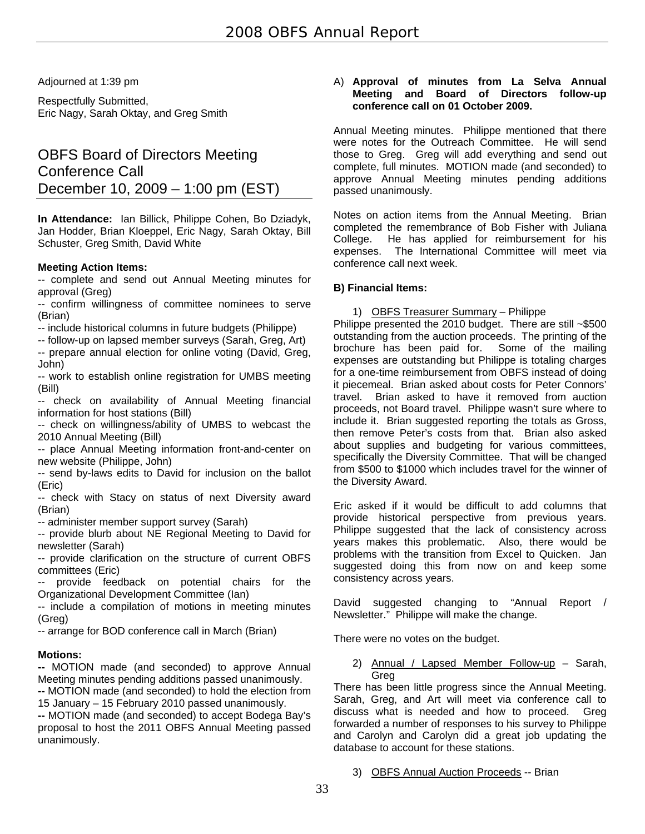Adjourned at 1:39 pm

Respectfully Submitted, Eric Nagy, Sarah Oktay, and Greg Smith

# OBFS Board of Directors Meeting Conference Call December 10, 2009 – 1:00 pm (EST)

**In Attendance:** Ian Billick, Philippe Cohen, Bo Dziadyk, Jan Hodder, Brian Kloeppel, Eric Nagy, Sarah Oktay, Bill Schuster, Greg Smith, David White

# **Meeting Action Items:**

-- complete and send out Annual Meeting minutes for approval (Greg)

-- confirm willingness of committee nominees to serve (Brian)

-- include historical columns in future budgets (Philippe)

-- follow-up on lapsed member surveys (Sarah, Greg, Art)

-- prepare annual election for online voting (David, Greg, John)

-- work to establish online registration for UMBS meeting (Bill)

-- check on availability of Annual Meeting financial information for host stations (Bill)

-- check on willingness/ability of UMBS to webcast the 2010 Annual Meeting (Bill)

-- place Annual Meeting information front-and-center on new website (Philippe, John)

-- send by-laws edits to David for inclusion on the ballot (Eric)

-- check with Stacy on status of next Diversity award (Brian)

-- administer member support survey (Sarah)

-- provide blurb about NE Regional Meeting to David for newsletter (Sarah)

-- provide clarification on the structure of current OBFS committees (Eric)

-- provide feedback on potential chairs for the Organizational Development Committee (Ian)

-- include a compilation of motions in meeting minutes (Greg)

-- arrange for BOD conference call in March (Brian)

# **Motions:**

**--** MOTION made (and seconded) to approve Annual Meeting minutes pending additions passed unanimously.

**--** MOTION made (and seconded) to hold the election from 15 January – 15 February 2010 passed unanimously.

**--** MOTION made (and seconded) to accept Bodega Bay's proposal to host the 2011 OBFS Annual Meeting passed unanimously.

# A) **Approval of minutes from La Selva Annual Meeting and Board of Directors follow-up conference call on 01 October 2009.**

Annual Meeting minutes. Philippe mentioned that there were notes for the Outreach Committee. He will send those to Greg. Greg will add everything and send out complete, full minutes. MOTION made (and seconded) to approve Annual Meeting minutes pending additions passed unanimously.

Notes on action items from the Annual Meeting. Brian completed the remembrance of Bob Fisher with Juliana College. He has applied for reimbursement for his expenses. The International Committee will meet via conference call next week.

# **B) Financial Items:**

1) OBFS Treasurer Summary – Philippe

Philippe presented the 2010 budget. There are still ~\$500 outstanding from the auction proceeds. The printing of the brochure has been paid for. Some of the mailing expenses are outstanding but Philippe is totaling charges for a one-time reimbursement from OBFS instead of doing it piecemeal. Brian asked about costs for Peter Connors' travel. Brian asked to have it removed from auction proceeds, not Board travel. Philippe wasn't sure where to include it. Brian suggested reporting the totals as Gross, then remove Peter's costs from that. Brian also asked about supplies and budgeting for various committees, specifically the Diversity Committee. That will be changed from \$500 to \$1000 which includes travel for the winner of the Diversity Award.

Eric asked if it would be difficult to add columns that provide historical perspective from previous years. Philippe suggested that the lack of consistency across years makes this problematic. Also, there would be problems with the transition from Excel to Quicken. Jan suggested doing this from now on and keep some consistency across years.

David suggested changing to "Annual Report / Newsletter." Philippe will make the change.

There were no votes on the budget.

2) Annual / Lapsed Member Follow-up – Sarah, Greg

There has been little progress since the Annual Meeting. Sarah, Greg, and Art will meet via conference call to discuss what is needed and how to proceed. Greg forwarded a number of responses to his survey to Philippe and Carolyn and Carolyn did a great job updating the database to account for these stations.

3) OBFS Annual Auction Proceeds -- Brian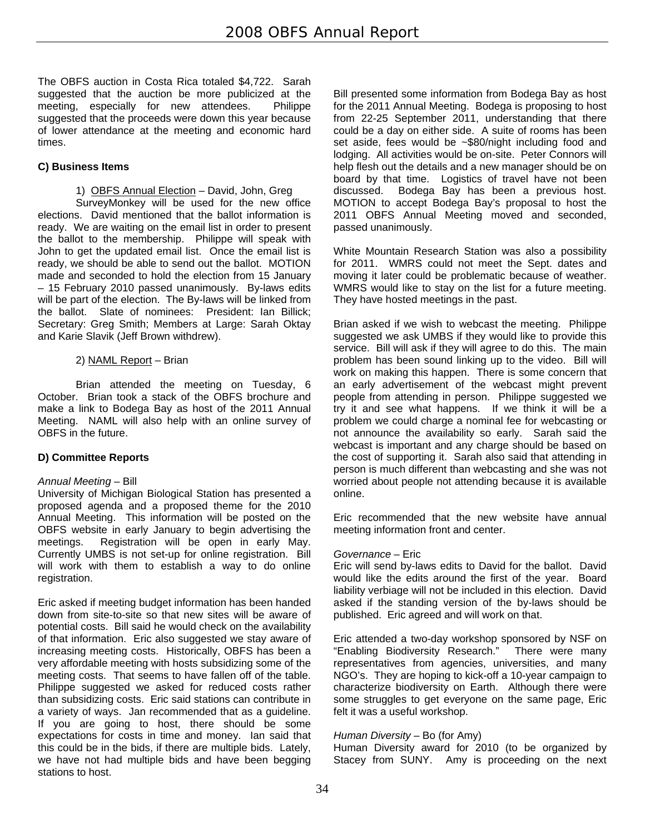The OBFS auction in Costa Rica totaled \$4,722. Sarah suggested that the auction be more publicized at the meeting, especially for new attendees. Philippe suggested that the proceeds were down this year because of lower attendance at the meeting and economic hard times.

# **C) Business Items**

#### 1) OBFS Annual Election – David, John, Greg

SurveyMonkey will be used for the new office elections. David mentioned that the ballot information is ready. We are waiting on the email list in order to present the ballot to the membership. Philippe will speak with John to get the updated email list. Once the email list is ready, we should be able to send out the ballot. MOTION made and seconded to hold the election from 15 January – 15 February 2010 passed unanimously. By-laws edits will be part of the election. The By-laws will be linked from the ballot. Slate of nominees: President: Ian Billick; Secretary: Greg Smith; Members at Large: Sarah Oktay and Karie Slavik (Jeff Brown withdrew).

#### 2) NAML Report – Brian

Brian attended the meeting on Tuesday, 6 October. Brian took a stack of the OBFS brochure and make a link to Bodega Bay as host of the 2011 Annual Meeting. NAML will also help with an online survey of OBFS in the future.

# **D) Committee Reports**

#### *Annual Meeting* – Bill

University of Michigan Biological Station has presented a proposed agenda and a proposed theme for the 2010 Annual Meeting. This information will be posted on the OBFS website in early January to begin advertising the meetings. Registration will be open in early May. Currently UMBS is not set-up for online registration. Bill will work with them to establish a way to do online registration.

Eric asked if meeting budget information has been handed down from site-to-site so that new sites will be aware of potential costs. Bill said he would check on the availability of that information. Eric also suggested we stay aware of increasing meeting costs. Historically, OBFS has been a very affordable meeting with hosts subsidizing some of the meeting costs. That seems to have fallen off of the table. Philippe suggested we asked for reduced costs rather than subsidizing costs. Eric said stations can contribute in a variety of ways. Jan recommended that as a guideline. If you are going to host, there should be some expectations for costs in time and money. Ian said that this could be in the bids, if there are multiple bids. Lately, we have not had multiple bids and have been begging stations to host.

Bill presented some information from Bodega Bay as host for the 2011 Annual Meeting. Bodega is proposing to host from 22-25 September 2011, understanding that there could be a day on either side. A suite of rooms has been set aside, fees would be ~\$80/night including food and lodging. All activities would be on-site. Peter Connors will help flesh out the details and a new manager should be on board by that time. Logistics of travel have not been discussed. Bodega Bay has been a previous host. MOTION to accept Bodega Bay's proposal to host the 2011 OBFS Annual Meeting moved and seconded, passed unanimously.

White Mountain Research Station was also a possibility for 2011. WMRS could not meet the Sept. dates and moving it later could be problematic because of weather. WMRS would like to stay on the list for a future meeting. They have hosted meetings in the past.

Brian asked if we wish to webcast the meeting. Philippe suggested we ask UMBS if they would like to provide this service. Bill will ask if they will agree to do this. The main problem has been sound linking up to the video. Bill will work on making this happen. There is some concern that an early advertisement of the webcast might prevent people from attending in person. Philippe suggested we try it and see what happens. If we think it will be a problem we could charge a nominal fee for webcasting or not announce the availability so early. Sarah said the webcast is important and any charge should be based on the cost of supporting it. Sarah also said that attending in person is much different than webcasting and she was not worried about people not attending because it is available online.

Eric recommended that the new website have annual meeting information front and center.

#### *Governance* – Eric

Eric will send by-laws edits to David for the ballot. David would like the edits around the first of the year. Board liability verbiage will not be included in this election. David asked if the standing version of the by-laws should be published. Eric agreed and will work on that.

Eric attended a two-day workshop sponsored by NSF on "Enabling Biodiversity Research." There were many representatives from agencies, universities, and many NGO's. They are hoping to kick-off a 10-year campaign to characterize biodiversity on Earth. Although there were some struggles to get everyone on the same page, Eric felt it was a useful workshop.

#### *Human Diversity* – Bo (for Amy)

Human Diversity award for 2010 (to be organized by Stacey from SUNY. Amy is proceeding on the next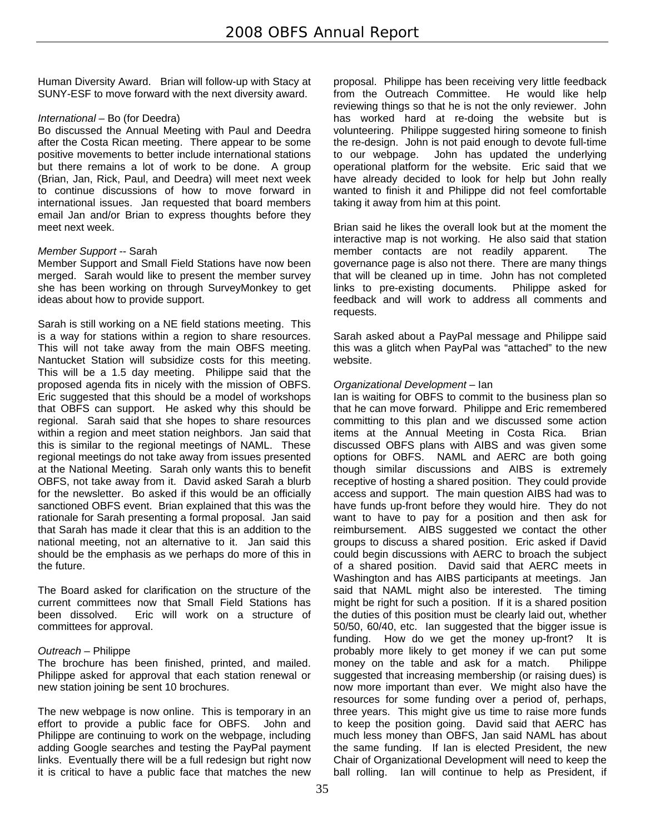Human Diversity Award. Brian will follow-up with Stacy at SUNY-ESF to move forward with the next diversity award.

## *International* – Bo (for Deedra)

Bo discussed the Annual Meeting with Paul and Deedra after the Costa Rican meeting. There appear to be some positive movements to better include international stations but there remains a lot of work to be done. A group (Brian, Jan, Rick, Paul, and Deedra) will meet next week to continue discussions of how to move forward in international issues. Jan requested that board members email Jan and/or Brian to express thoughts before they meet next week.

## *Member Support* -- Sarah

Member Support and Small Field Stations have now been merged. Sarah would like to present the member survey she has been working on through SurveyMonkey to get ideas about how to provide support.

Sarah is still working on a NE field stations meeting. This is a way for stations within a region to share resources. This will not take away from the main OBFS meeting. Nantucket Station will subsidize costs for this meeting. This will be a 1.5 day meeting. Philippe said that the proposed agenda fits in nicely with the mission of OBFS. Eric suggested that this should be a model of workshops that OBFS can support. He asked why this should be regional. Sarah said that she hopes to share resources within a region and meet station neighbors. Jan said that this is similar to the regional meetings of NAML. These regional meetings do not take away from issues presented at the National Meeting. Sarah only wants this to benefit OBFS, not take away from it. David asked Sarah a blurb for the newsletter. Bo asked if this would be an officially sanctioned OBFS event. Brian explained that this was the rationale for Sarah presenting a formal proposal. Jan said that Sarah has made it clear that this is an addition to the national meeting, not an alternative to it. Jan said this should be the emphasis as we perhaps do more of this in the future.

The Board asked for clarification on the structure of the current committees now that Small Field Stations has been dissolved. Eric will work on a structure of committees for approval.

# *Outreach* – Philippe

The brochure has been finished, printed, and mailed. Philippe asked for approval that each station renewal or new station joining be sent 10 brochures.

The new webpage is now online. This is temporary in an effort to provide a public face for OBFS. John and Philippe are continuing to work on the webpage, including adding Google searches and testing the PayPal payment links. Eventually there will be a full redesign but right now it is critical to have a public face that matches the new proposal. Philippe has been receiving very little feedback from the Outreach Committee. He would like help reviewing things so that he is not the only reviewer. John has worked hard at re-doing the website but is volunteering. Philippe suggested hiring someone to finish the re-design. John is not paid enough to devote full-time to our webpage. John has updated the underlying operational platform for the website. Eric said that we have already decided to look for help but John really wanted to finish it and Philippe did not feel comfortable taking it away from him at this point.

Brian said he likes the overall look but at the moment the interactive map is not working. He also said that station member contacts are not readily apparent. The governance page is also not there. There are many things that will be cleaned up in time. John has not completed links to pre-existing documents. Philippe asked for feedback and will work to address all comments and requests.

Sarah asked about a PayPal message and Philippe said this was a glitch when PayPal was "attached" to the new website.

## *Organizational Development* – Ian

Ian is waiting for OBFS to commit to the business plan so that he can move forward. Philippe and Eric remembered committing to this plan and we discussed some action items at the Annual Meeting in Costa Rica. Brian discussed OBFS plans with AIBS and was given some options for OBFS. NAML and AERC are both going though similar discussions and AIBS is extremely receptive of hosting a shared position. They could provide access and support. The main question AIBS had was to have funds up-front before they would hire. They do not want to have to pay for a position and then ask for reimbursement. AIBS suggested we contact the other groups to discuss a shared position. Eric asked if David could begin discussions with AERC to broach the subject of a shared position. David said that AERC meets in Washington and has AIBS participants at meetings. Jan said that NAML might also be interested. The timing might be right for such a position. If it is a shared position the duties of this position must be clearly laid out, whether 50/50, 60/40, etc. Ian suggested that the bigger issue is funding. How do we get the money up-front? It is probably more likely to get money if we can put some money on the table and ask for a match. Philippe suggested that increasing membership (or raising dues) is now more important than ever. We might also have the resources for some funding over a period of, perhaps, three years. This might give us time to raise more funds to keep the position going. David said that AERC has much less money than OBFS, Jan said NAML has about the same funding. If Ian is elected President, the new Chair of Organizational Development will need to keep the ball rolling. Ian will continue to help as President, if